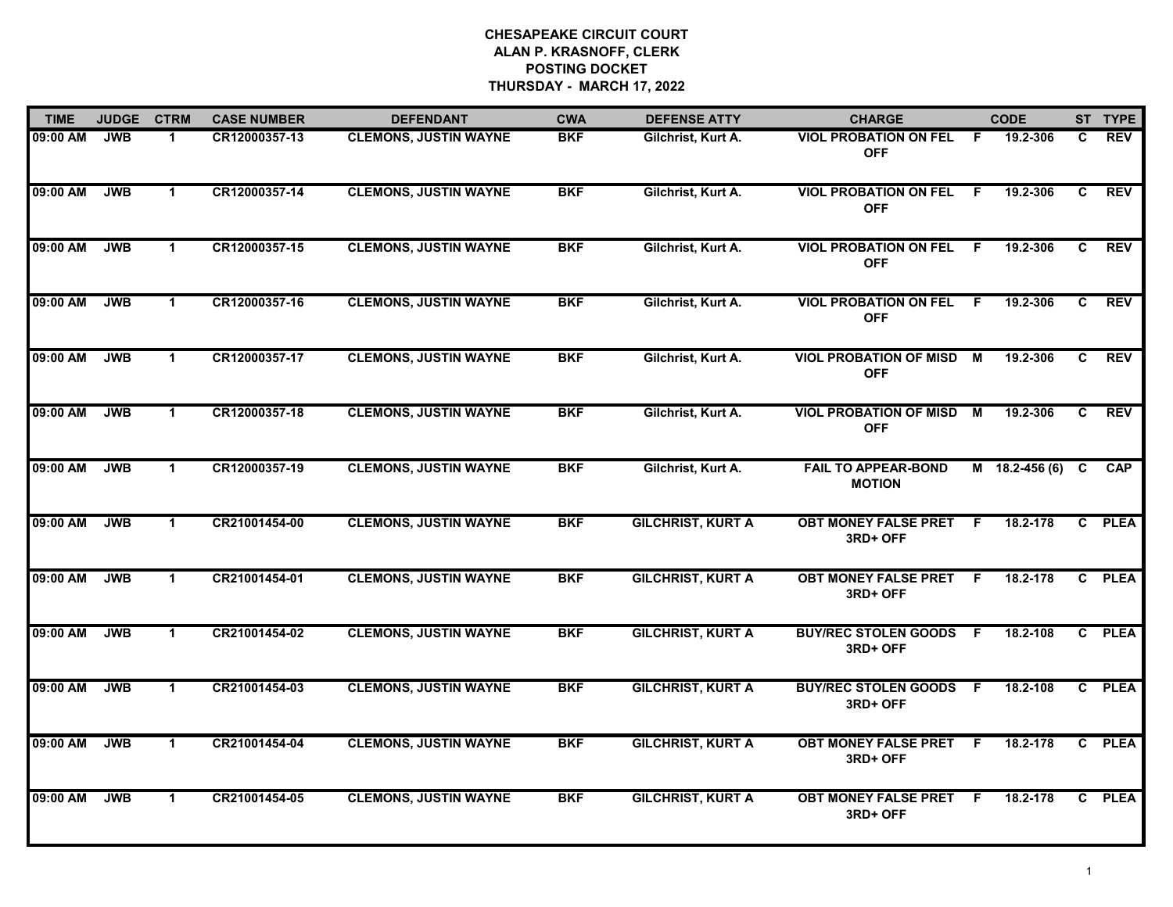| <b>TIME</b> | <b>JUDGE</b> | <b>CTRM</b>  | <b>CASE NUMBER</b> | <b>DEFENDANT</b>             | <b>CWA</b> | <b>DEFENSE ATTY</b>      | <b>CHARGE</b>                               |     | <b>CODE</b>      |              | ST TYPE     |
|-------------|--------------|--------------|--------------------|------------------------------|------------|--------------------------|---------------------------------------------|-----|------------------|--------------|-------------|
| 09:00 AM    | <b>JWB</b>   | -1           | CR12000357-13      | <b>CLEMONS, JUSTIN WAYNE</b> | <b>BKF</b> | Gilchrist, Kurt A.       | <b>VIOL PROBATION ON FEL</b><br><b>OFF</b>  | - F | 19.2-306         | C.           | REV         |
| 09:00 AM    | <b>JWB</b>   | $\mathbf{1}$ | CR12000357-14      | <b>CLEMONS, JUSTIN WAYNE</b> | <b>BKF</b> | Gilchrist, Kurt A.       | <b>VIOL PROBATION ON FEL</b><br><b>OFF</b>  | F.  | 19.2-306         | C            | <b>REV</b>  |
| 09:00 AM    | <b>JWB</b>   | $\mathbf 1$  | CR12000357-15      | <b>CLEMONS, JUSTIN WAYNE</b> | <b>BKF</b> | Gilchrist, Kurt A.       | <b>VIOL PROBATION ON FEL</b><br><b>OFF</b>  | F.  | 19.2-306         | C            | <b>REV</b>  |
| 09:00 AM    | <b>JWB</b>   | $\mathbf 1$  | CR12000357-16      | <b>CLEMONS, JUSTIN WAYNE</b> | <b>BKF</b> | Gilchrist, Kurt A.       | <b>VIOL PROBATION ON FEL</b><br><b>OFF</b>  | -F. | 19.2-306         | C.           | <b>REV</b>  |
| 09:00 AM    | <b>JWB</b>   | $\mathbf{1}$ | CR12000357-17      | <b>CLEMONS, JUSTIN WAYNE</b> | <b>BKF</b> | Gilchrist, Kurt A.       | <b>VIOL PROBATION OF MISD</b><br><b>OFF</b> | M   | 19.2-306         | C.           | <b>REV</b>  |
| 09:00 AM    | <b>JWB</b>   | $\mathbf 1$  | CR12000357-18      | <b>CLEMONS, JUSTIN WAYNE</b> | <b>BKF</b> | Gilchrist, Kurt A.       | <b>VIOL PROBATION OF MISD</b><br><b>OFF</b> | M   | 19.2-306         | C.           | <b>REV</b>  |
| 09:00 AM    | <b>JWB</b>   | $\mathbf{1}$ | CR12000357-19      | <b>CLEMONS, JUSTIN WAYNE</b> | <b>BKF</b> | Gilchrist, Kurt A.       | <b>FAIL TO APPEAR-BOND</b><br><b>MOTION</b> |     | $M$ 18.2-456 (6) | C            | <b>CAP</b>  |
| 09:00 AM    | <b>JWB</b>   | $\mathbf{1}$ | CR21001454-00      | <b>CLEMONS, JUSTIN WAYNE</b> | <b>BKF</b> | <b>GILCHRIST, KURT A</b> | <b>OBT MONEY FALSE PRET</b><br>3RD+ OFF     | F.  | 18.2-178         | $\mathbf{c}$ | <b>PLEA</b> |
| 09:00 AM    | <b>JWB</b>   | $\mathbf{1}$ | CR21001454-01      | <b>CLEMONS, JUSTIN WAYNE</b> | <b>BKF</b> | <b>GILCHRIST, KURT A</b> | <b>OBT MONEY FALSE PRET</b><br>3RD+ OFF     | - F | 18.2-178         |              | C PLEA      |
| 09:00 AM    | <b>JWB</b>   | $\mathbf 1$  | CR21001454-02      | <b>CLEMONS, JUSTIN WAYNE</b> | <b>BKF</b> | <b>GILCHRIST, KURT A</b> | <b>BUY/REC STOLEN GOODS</b><br>3RD+ OFF     | -F  | 18.2-108         |              | C PLEA      |
| 09:00 AM    | <b>JWB</b>   | $\mathbf 1$  | CR21001454-03      | <b>CLEMONS, JUSTIN WAYNE</b> | <b>BKF</b> | <b>GILCHRIST, KURT A</b> | <b>BUY/REC STOLEN GOODS F</b><br>3RD+ OFF   |     | 18.2-108         |              | C PLEA      |
| 09:00 AM    | <b>JWB</b>   | $\mathbf{1}$ | CR21001454-04      | <b>CLEMONS, JUSTIN WAYNE</b> | <b>BKF</b> | <b>GILCHRIST, KURT A</b> | <b>OBT MONEY FALSE PRET</b><br>3RD+ OFF     | -F  | 18.2-178         | C            | <b>PLEA</b> |
| 09:00 AM    | <b>JWB</b>   | $\mathbf 1$  | CR21001454-05      | <b>CLEMONS, JUSTIN WAYNE</b> | <b>BKF</b> | <b>GILCHRIST, KURT A</b> | <b>OBT MONEY FALSE PRET</b><br>3RD+ OFF     | -F. | 18.2-178         | C.           | <b>PLEA</b> |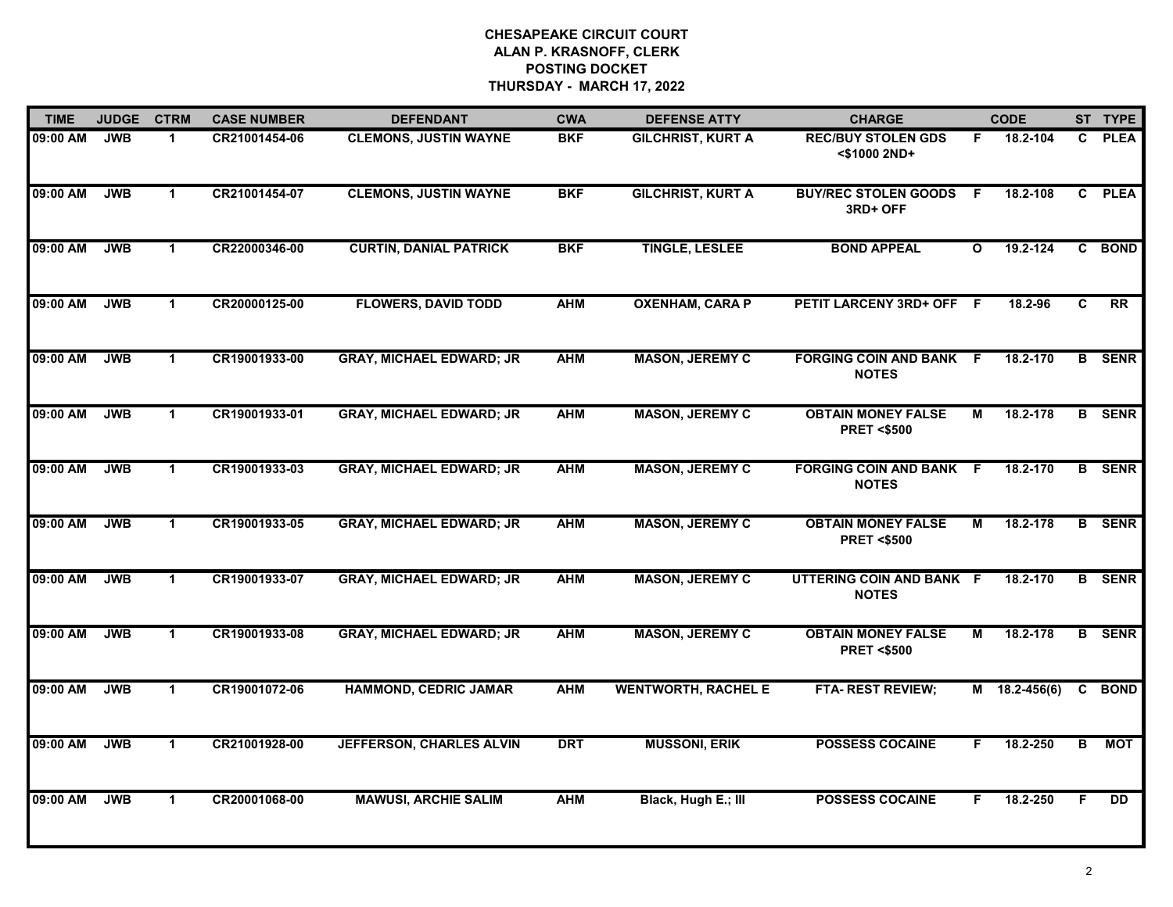| <b>TIME</b> | <b>JUDGE</b> | <b>CTRM</b>          | <b>CASE NUMBER</b> | <b>DEFENDANT</b>                | <b>CWA</b> | <b>DEFENSE ATTY</b>        | <b>CHARGE</b>                                      |              | <b>CODE</b>     |    | ST TYPE         |
|-------------|--------------|----------------------|--------------------|---------------------------------|------------|----------------------------|----------------------------------------------------|--------------|-----------------|----|-----------------|
| 09:00 AM    | <b>JWB</b>   | $\mathbf 1$          | CR21001454-06      | <b>CLEMONS, JUSTIN WAYNE</b>    | <b>BKF</b> | <b>GILCHRIST, KURT A</b>   | <b>REC/BUY STOLEN GDS</b><br><\$1000 2ND+          | F.           | 18.2-104        | C. | <b>PLEA</b>     |
| 09:00 AM    | <b>JWB</b>   | $\mathbf{1}$         | CR21001454-07      | <b>CLEMONS, JUSTIN WAYNE</b>    | <b>BKF</b> | <b>GILCHRIST, KURT A</b>   | <b>BUY/REC STOLEN GOODS</b><br>3RD+ OFF            | -F           | 18.2-108        |    | C PLEA          |
| 09:00 AM    | <b>JWB</b>   | $\mathbf{1}$         | CR22000346-00      | <b>CURTIN, DANIAL PATRICK</b>   | <b>BKF</b> | <b>TINGLE, LESLEE</b>      | <b>BOND APPEAL</b>                                 | $\mathbf{o}$ | $19.2 - 124$    |    | C BOND          |
| 09:00 AM    | <b>JWB</b>   | $\mathbf 1$          | CR20000125-00      | <b>FLOWERS, DAVID TODD</b>      | <b>AHM</b> | <b>OXENHAM, CARA P</b>     | PETIT LARCENY 3RD+ OFF F                           |              | 18.2-96         | C  | $\overline{RR}$ |
| 09:00 AM    | <b>JWB</b>   | $\mathbf{1}$         | CR19001933-00      | <b>GRAY, MICHAEL EDWARD; JR</b> | <b>AHM</b> | <b>MASON, JEREMY C</b>     | <b>FORGING COIN AND BANK F</b><br><b>NOTES</b>     |              | 18.2-170        |    | <b>B</b> SENR   |
| 09:00 AM    | <b>JWB</b>   | $\mathbf{1}$         | CR19001933-01      | <b>GRAY, MICHAEL EDWARD; JR</b> | <b>AHM</b> | <b>MASON, JEREMY C</b>     | <b>OBTAIN MONEY FALSE</b><br><b>PRET &lt;\$500</b> | М            | 18.2-178        |    | <b>B</b> SENR   |
| 09:00 AM    | <b>JWB</b>   | $\mathbf{1}$         | CR19001933-03      | <b>GRAY, MICHAEL EDWARD; JR</b> | <b>AHM</b> | <b>MASON, JEREMY C</b>     | <b>FORGING COIN AND BANK</b><br><b>NOTES</b>       | - F          | 18.2-170        |    | <b>B</b> SENR   |
| 09:00 AM    | <b>JWB</b>   | $\mathbf{1}$         | CR19001933-05      | <b>GRAY, MICHAEL EDWARD; JR</b> | <b>AHM</b> | <b>MASON, JEREMY C</b>     | <b>OBTAIN MONEY FALSE</b><br><b>PRET &lt;\$500</b> | М            | 18.2-178        |    | <b>B</b> SENR   |
| 09:00 AM    | <b>JWB</b>   | $\mathbf 1$          | CR19001933-07      | <b>GRAY, MICHAEL EDWARD; JR</b> | <b>AHM</b> | <b>MASON, JEREMY C</b>     | UTTERING COIN AND BANK F<br><b>NOTES</b>           |              | 18.2-170        |    | <b>B</b> SENR   |
| 09:00 AM    | <b>JWB</b>   | $\mathbf 1$          | CR19001933-08      | <b>GRAY, MICHAEL EDWARD; JR</b> | <b>AHM</b> | <b>MASON, JEREMY C</b>     | <b>OBTAIN MONEY FALSE</b><br><b>PRET &lt;\$500</b> | М            | 18.2-178        |    | <b>B</b> SENR   |
| 09:00 AM    | <b>JWB</b>   | $\mathbf{1}$         | CR19001072-06      | <b>HAMMOND, CEDRIC JAMAR</b>    | <b>AHM</b> | <b>WENTWORTH, RACHEL E</b> | <b>FTA- REST REVIEW;</b>                           |              | $M$ 18.2-456(6) | C  | <b>BOND</b>     |
| 09:00 AM    | <b>JWB</b>   | $\blacktriangleleft$ | CR21001928-00      | <b>JEFFERSON, CHARLES ALVIN</b> | <b>DRT</b> | <b>MUSSONI, ERIK</b>       | <b>POSSESS COCAINE</b>                             | F.           | 18.2-250        | B  | <b>MOT</b>      |
| 09:00 AM    | <b>JWB</b>   | $\mathbf 1$          | CR20001068-00      | <b>MAWUSI, ARCHIE SALIM</b>     | <b>AHM</b> | Black, Hugh E.; III        | <b>POSSESS COCAINE</b>                             | F.           | 18.2-250        | F. | <b>DD</b>       |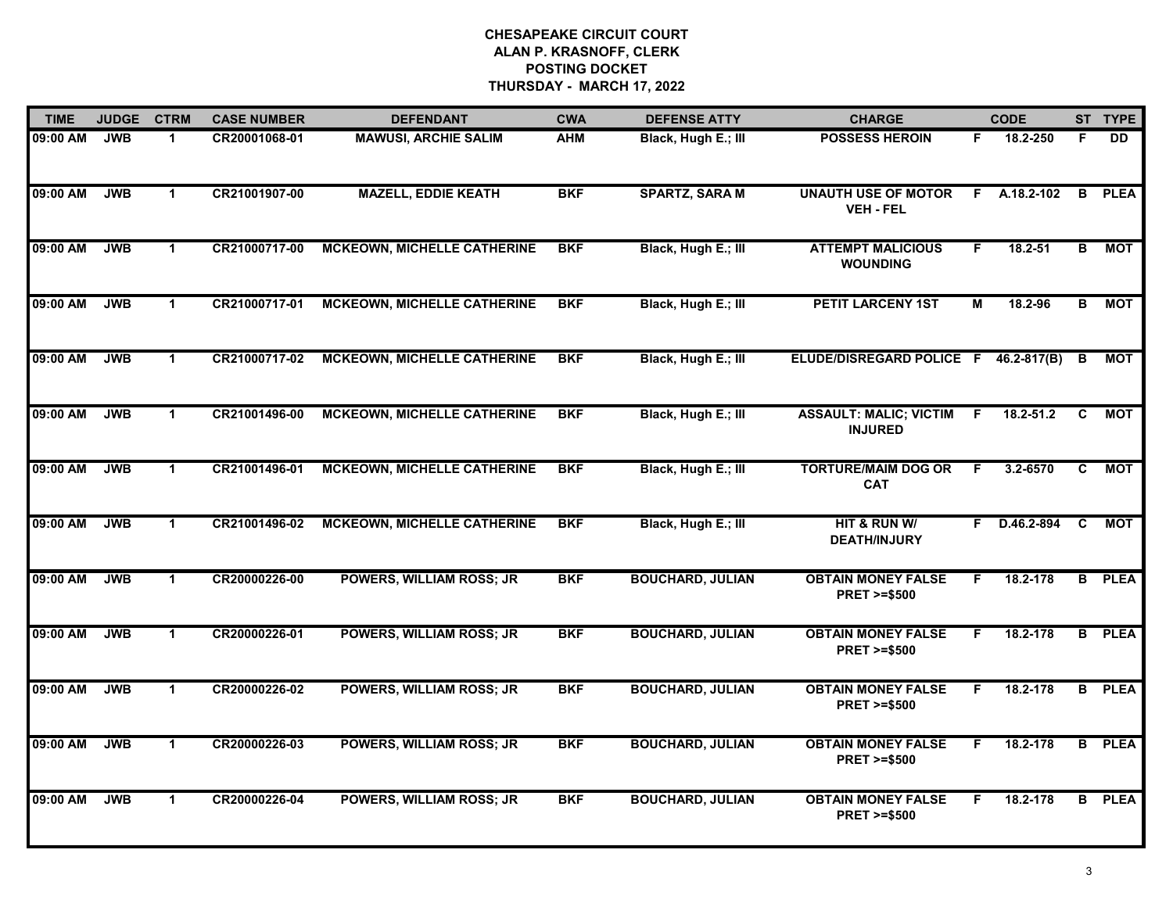| <b>TIME</b> | <b>JUDGE</b> | <b>CTRM</b>  | <b>CASE NUMBER</b> | <b>DEFENDANT</b>                   | <b>CWA</b> | <b>DEFENSE ATTY</b>     | <b>CHARGE</b>                                       |    | <b>CODE</b>    |                         | ST TYPE       |
|-------------|--------------|--------------|--------------------|------------------------------------|------------|-------------------------|-----------------------------------------------------|----|----------------|-------------------------|---------------|
| 09:00 AM    | <b>JWB</b>   | $\mathbf 1$  | CR20001068-01      | <b>MAWUSI, ARCHIE SALIM</b>        | <b>AHM</b> | Black, Hugh E.; III     | <b>POSSESS HEROIN</b>                               | F. | 18.2-250       | F                       | <b>DD</b>     |
| 09:00 AM    | <b>JWB</b>   | $\mathbf{1}$ | CR21001907-00      | <b>MAZELL, EDDIE KEATH</b>         | <b>BKF</b> | <b>SPARTZ, SARA M</b>   | <b>UNAUTH USE OF MOTOR</b><br><b>VEH - FEL</b>      | F  | A.18.2-102     | B                       | <b>PLEA</b>   |
| 09:00 AM    | <b>JWB</b>   | $\mathbf{1}$ | CR21000717-00      | <b>MCKEOWN, MICHELLE CATHERINE</b> | <b>BKF</b> | Black, Hugh E.; III     | <b>ATTEMPT MALICIOUS</b><br><b>WOUNDING</b>         | F. | 18.2-51        | B                       | <b>MOT</b>    |
| 09:00 AM    | <b>JWB</b>   | 1            | CR21000717-01      | <b>MCKEOWN, MICHELLE CATHERINE</b> | <b>BKF</b> | Black, Hugh E.; III     | <b>PETIT LARCENY 1ST</b>                            | M  | 18.2-96        | в                       | <b>MOT</b>    |
| 09:00 AM    | <b>JWB</b>   | $\mathbf 1$  | CR21000717-02      | <b>MCKEOWN, MICHELLE CATHERINE</b> | <b>BKF</b> | Black, Hugh E.; III     | ELUDE/DISREGARD POLICE F 46.2-817(B)                |    |                | В                       | MOT           |
| 09:00 AM    | <b>JWB</b>   | $\mathbf 1$  | CR21001496-00      | <b>MCKEOWN, MICHELLE CATHERINE</b> | <b>BKF</b> | Black, Hugh E.; III     | <b>ASSAULT: MALIC; VICTIM</b><br><b>INJURED</b>     | -F | $18.2 - 51.2$  | C                       | <b>MOT</b>    |
| 09:00 AM    | <b>JWB</b>   | $\mathbf{1}$ | CR21001496-01      | <b>MCKEOWN, MICHELLE CATHERINE</b> | <b>BKF</b> | Black, Hugh E.; III     | <b>TORTURE/MAIM DOG OR</b><br><b>CAT</b>            | F. | $3.2 - 6570$   | C                       | <b>MOT</b>    |
| 09:00 AM    | <b>JWB</b>   | $\mathbf{1}$ | CR21001496-02      | <b>MCKEOWN, MICHELLE CATHERINE</b> | <b>BKF</b> | Black, Hugh E.; III     | HIT & RUN W/<br><b>DEATH/INJURY</b>                 | F. | $D.46.2 - 894$ | C                       | <b>MOT</b>    |
| 09:00 AM    | <b>JWB</b>   | $\mathbf{1}$ | CR20000226-00      | POWERS, WILLIAM ROSS; JR           | <b>BKF</b> | <b>BOUCHARD, JULIAN</b> | <b>OBTAIN MONEY FALSE</b><br><b>PRET &gt;=\$500</b> | F. | 18.2-178       | B                       | <b>PLEA</b>   |
| 09:00 AM    | <b>JWB</b>   | $\mathbf 1$  | CR20000226-01      | <b>POWERS, WILLIAM ROSS; JR</b>    | <b>BKF</b> | <b>BOUCHARD, JULIAN</b> | <b>OBTAIN MONEY FALSE</b><br><b>PRET &gt;=\$500</b> | F. | 18.2-178       |                         | <b>B</b> PLEA |
| 09:00 AM    | <b>JWB</b>   | $\mathbf 1$  | CR20000226-02      | <b>POWERS, WILLIAM ROSS; JR</b>    | <b>BKF</b> | <b>BOUCHARD, JULIAN</b> | <b>OBTAIN MONEY FALSE</b><br><b>PRET &gt;=\$500</b> | F. | 18.2-178       |                         | <b>B</b> PLEA |
| 09:00 AM    | <b>JWB</b>   | $\mathbf{1}$ | CR20000226-03      | <b>POWERS, WILLIAM ROSS; JR</b>    | <b>BKF</b> | <b>BOUCHARD, JULIAN</b> | <b>OBTAIN MONEY FALSE</b><br><b>PRET &gt;=\$500</b> | F. | 18.2-178       | $\overline{\mathbf{B}}$ | <b>PLEA</b>   |
| 09:00 AM    | <b>JWB</b>   | $\mathbf{1}$ | CR20000226-04      | POWERS, WILLIAM ROSS; JR           | <b>BKF</b> | <b>BOUCHARD, JULIAN</b> | <b>OBTAIN MONEY FALSE</b><br><b>PRET &gt;=\$500</b> | F  | 18.2-178       | B                       | <b>PLEA</b>   |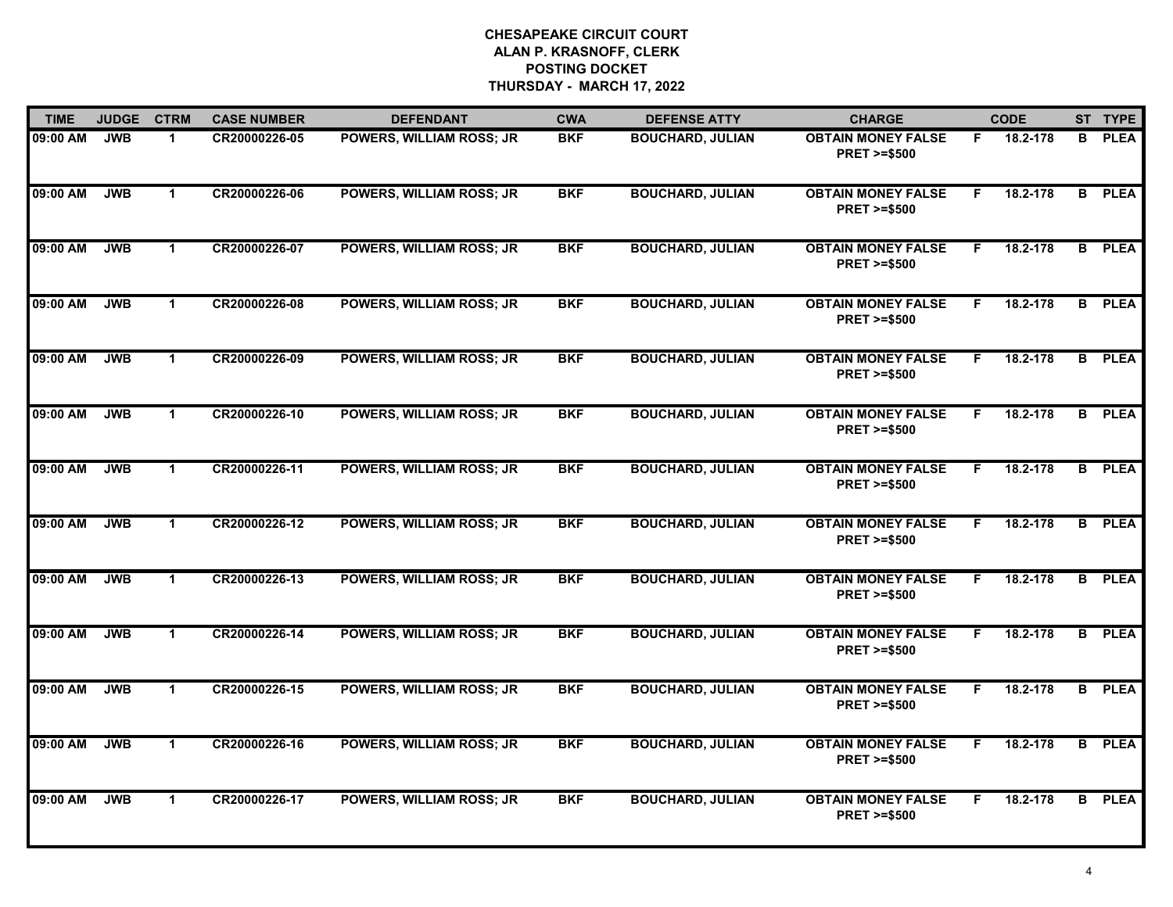| <b>TIME</b> | <b>JUDGE</b> | <b>CTRM</b>          | <b>CASE NUMBER</b> | <b>DEFENDANT</b>                | <b>CWA</b> | <b>DEFENSE ATTY</b>     | <b>CHARGE</b>                                       |    | <b>CODE</b> |    | ST TYPE     |
|-------------|--------------|----------------------|--------------------|---------------------------------|------------|-------------------------|-----------------------------------------------------|----|-------------|----|-------------|
| 09:00 AM    | <b>JWB</b>   | $\blacktriangleleft$ | CR20000226-05      | POWERS, WILLIAM ROSS; JR        | <b>BKF</b> | <b>BOUCHARD, JULIAN</b> | <b>OBTAIN MONEY FALSE</b><br><b>PRET &gt;=\$500</b> | F. | 18.2-178    | в  | <b>PLEA</b> |
| 09:00 AM    | <b>JWB</b>   | $\mathbf 1$          | CR20000226-06      | POWERS, WILLIAM ROSS; JR        | <b>BKF</b> | <b>BOUCHARD, JULIAN</b> | <b>OBTAIN MONEY FALSE</b><br><b>PRET &gt;=\$500</b> | F  | 18.2-178    | B. | <b>PLEA</b> |
| 09:00 AM    | <b>JWB</b>   | $\mathbf 1$          | CR20000226-07      | <b>POWERS, WILLIAM ROSS; JR</b> | <b>BKF</b> | <b>BOUCHARD, JULIAN</b> | <b>OBTAIN MONEY FALSE</b><br><b>PRET &gt;=\$500</b> | F. | 18.2-178    | B  | <b>PLEA</b> |
| 09:00 AM    | <b>JWB</b>   | $\mathbf 1$          | CR20000226-08      | <b>POWERS, WILLIAM ROSS; JR</b> | <b>BKF</b> | <b>BOUCHARD, JULIAN</b> | <b>OBTAIN MONEY FALSE</b><br><b>PRET &gt;=\$500</b> | F. | 18.2-178    | B. | <b>PLEA</b> |
| 09:00 AM    | <b>JWB</b>   | $\blacktriangleleft$ | CR20000226-09      | <b>POWERS, WILLIAM ROSS; JR</b> | <b>BKF</b> | <b>BOUCHARD, JULIAN</b> | <b>OBTAIN MONEY FALSE</b><br><b>PRET &gt;=\$500</b> | F. | 18.2-178    | B  | <b>PLEA</b> |
| 09:00 AM    | <b>JWB</b>   | $\blacktriangleleft$ | CR20000226-10      | <b>POWERS, WILLIAM ROSS; JR</b> | <b>BKF</b> | <b>BOUCHARD, JULIAN</b> | <b>OBTAIN MONEY FALSE</b><br><b>PRET &gt;=\$500</b> | F. | 18.2-178    | B  | <b>PLEA</b> |
| 09:00 AM    | <b>JWB</b>   | $\mathbf{1}$         | CR20000226-11      | <b>POWERS, WILLIAM ROSS; JR</b> | <b>BKF</b> | <b>BOUCHARD, JULIAN</b> | <b>OBTAIN MONEY FALSE</b><br><b>PRET &gt;=\$500</b> | F  | 18.2-178    | B  | <b>PLEA</b> |
| 09:00 AM    | <b>JWB</b>   | $\mathbf 1$          | CR20000226-12      | <b>POWERS, WILLIAM ROSS; JR</b> | <b>BKF</b> | <b>BOUCHARD, JULIAN</b> | <b>OBTAIN MONEY FALSE</b><br><b>PRET &gt;=\$500</b> | F  | 18.2-178    | B  | <b>PLEA</b> |
| 09:00 AM    | <b>JWB</b>   | $\blacktriangleleft$ | CR20000226-13      | <b>POWERS, WILLIAM ROSS; JR</b> | <b>BKF</b> | <b>BOUCHARD, JULIAN</b> | <b>OBTAIN MONEY FALSE</b><br><b>PRET &gt;=\$500</b> | F. | 18.2-178    | B  | <b>PLEA</b> |
| 09:00 AM    | <b>JWB</b>   | $\blacktriangleleft$ | CR20000226-14      | <b>POWERS, WILLIAM ROSS; JR</b> | <b>BKF</b> | <b>BOUCHARD, JULIAN</b> | <b>OBTAIN MONEY FALSE</b><br><b>PRET &gt;=\$500</b> | F  | 18.2-178    | В  | <b>PLEA</b> |
| 09:00 AM    | <b>JWB</b>   | $\mathbf 1$          | CR20000226-15      | <b>POWERS, WILLIAM ROSS; JR</b> | <b>BKF</b> | <b>BOUCHARD, JULIAN</b> | <b>OBTAIN MONEY FALSE</b><br><b>PRET &gt;=\$500</b> | F. | 18.2-178    | B  | <b>PLEA</b> |
| 09:00 AM    | <b>JWB</b>   | $\mathbf{1}$         | CR20000226-16      | <b>POWERS, WILLIAM ROSS; JR</b> | <b>BKF</b> | <b>BOUCHARD, JULIAN</b> | <b>OBTAIN MONEY FALSE</b><br><b>PRET &gt;=\$500</b> | F  | 18.2-178    | в  | <b>PLEA</b> |
| 09:00 AM    | <b>JWB</b>   | $\mathbf{1}$         | CR20000226-17      | <b>POWERS, WILLIAM ROSS; JR</b> | <b>BKF</b> | <b>BOUCHARD, JULIAN</b> | <b>OBTAIN MONEY FALSE</b><br><b>PRET &gt;=\$500</b> | F  | 18.2-178    | B. | <b>PLEA</b> |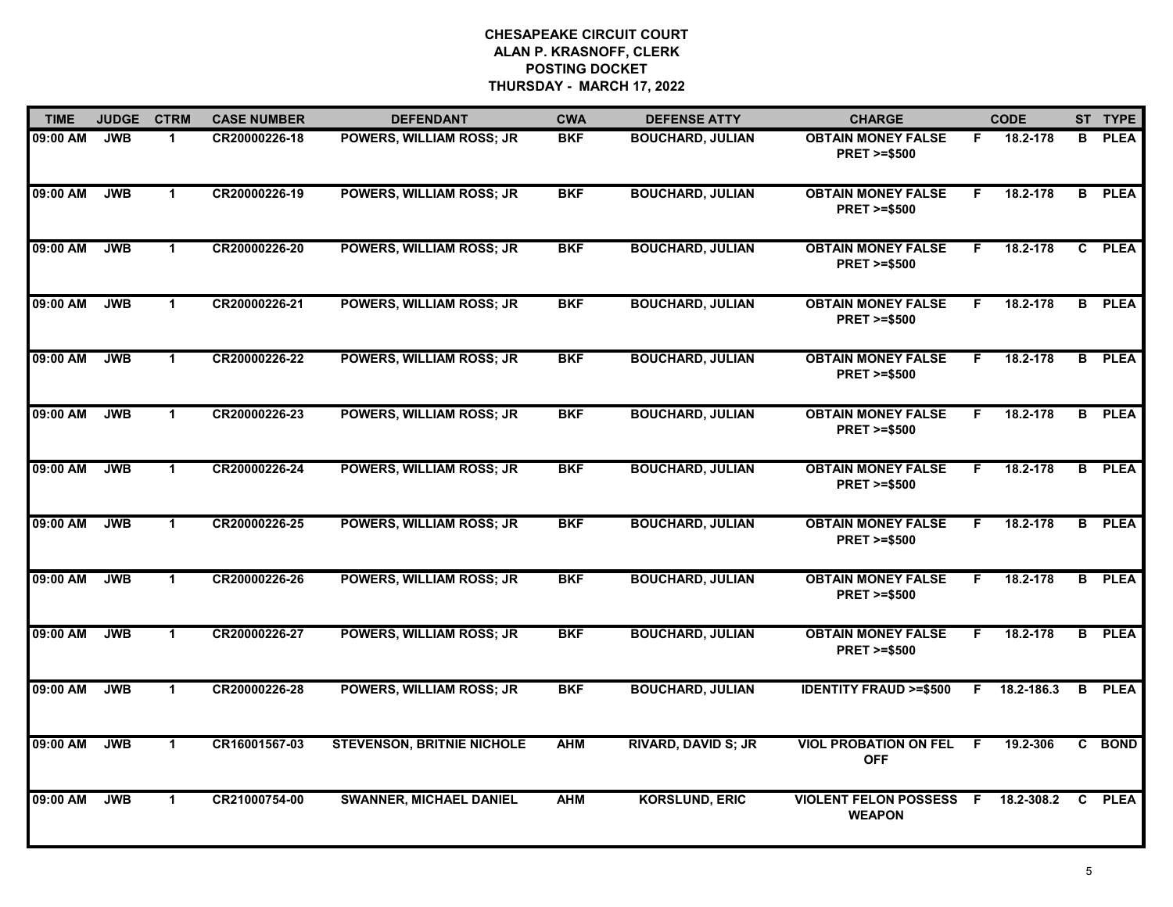| <b>TIME</b> | <b>JUDGE</b> | <b>CTRM</b>          | <b>CASE NUMBER</b> | <b>DEFENDANT</b>                  | <b>CWA</b> | <b>DEFENSE ATTY</b>        | <b>CHARGE</b>                                       |     | <b>CODE</b> |              | ST TYPE     |
|-------------|--------------|----------------------|--------------------|-----------------------------------|------------|----------------------------|-----------------------------------------------------|-----|-------------|--------------|-------------|
| 09:00 AM    | <b>JWB</b>   | $\blacktriangleleft$ | CR20000226-18      | POWERS, WILLIAM ROSS; JR          | <b>BKF</b> | <b>BOUCHARD, JULIAN</b>    | <b>OBTAIN MONEY FALSE</b><br><b>PRET &gt;=\$500</b> | F.  | 18.2-178    | в            | <b>PLEA</b> |
| 09:00 AM    | <b>JWB</b>   | $\mathbf 1$          | CR20000226-19      | <b>POWERS, WILLIAM ROSS; JR</b>   | <b>BKF</b> | <b>BOUCHARD, JULIAN</b>    | <b>OBTAIN MONEY FALSE</b><br><b>PRET &gt;=\$500</b> | F   | 18.2-178    | B.           | <b>PLEA</b> |
| 09:00 AM    | <b>JWB</b>   | $\mathbf 1$          | CR20000226-20      | <b>POWERS, WILLIAM ROSS; JR</b>   | <b>BKF</b> | <b>BOUCHARD, JULIAN</b>    | <b>OBTAIN MONEY FALSE</b><br><b>PRET &gt;=\$500</b> | F.  | 18.2-178    | $\mathbf{c}$ | <b>PLEA</b> |
| 09:00 AM    | <b>JWB</b>   | $\mathbf 1$          | CR20000226-21      | <b>POWERS, WILLIAM ROSS; JR</b>   | <b>BKF</b> | <b>BOUCHARD, JULIAN</b>    | <b>OBTAIN MONEY FALSE</b><br><b>PRET &gt;=\$500</b> | F.  | 18.2-178    | B            | <b>PLEA</b> |
| 09:00 AM    | <b>JWB</b>   | $\mathbf 1$          | CR20000226-22      | <b>POWERS, WILLIAM ROSS; JR</b>   | <b>BKF</b> | <b>BOUCHARD, JULIAN</b>    | <b>OBTAIN MONEY FALSE</b><br><b>PRET &gt;=\$500</b> | F.  | 18.2-178    | B.           | <b>PLEA</b> |
| 09:00 AM    | <b>JWB</b>   | $\mathbf{1}$         | CR20000226-23      | <b>POWERS, WILLIAM ROSS; JR</b>   | <b>BKF</b> | <b>BOUCHARD, JULIAN</b>    | <b>OBTAIN MONEY FALSE</b><br><b>PRET &gt;=\$500</b> | F.  | 18.2-178    | B            | <b>PLEA</b> |
| 09:00 AM    | <b>JWB</b>   | $\mathbf{1}$         | CR20000226-24      | <b>POWERS, WILLIAM ROSS; JR</b>   | <b>BKF</b> | <b>BOUCHARD, JULIAN</b>    | <b>OBTAIN MONEY FALSE</b><br><b>PRET &gt;=\$500</b> | F   | 18.2-178    | B            | <b>PLEA</b> |
| 09:00 AM    | <b>JWB</b>   | $\mathbf 1$          | CR20000226-25      | <b>POWERS, WILLIAM ROSS; JR</b>   | <b>BKF</b> | <b>BOUCHARD, JULIAN</b>    | <b>OBTAIN MONEY FALSE</b><br><b>PRET &gt;=\$500</b> | F   | 18.2-178    | B.           | <b>PLEA</b> |
| 09:00 AM    | <b>JWB</b>   | $\mathbf{1}$         | CR20000226-26      | <b>POWERS, WILLIAM ROSS; JR</b>   | <b>BKF</b> | <b>BOUCHARD, JULIAN</b>    | <b>OBTAIN MONEY FALSE</b><br><b>PRET &gt;=\$500</b> | F.  | 18.2-178    | B            | <b>PLEA</b> |
| 09:00 AM    | <b>JWB</b>   | $\mathbf 1$          | CR20000226-27      | POWERS, WILLIAM ROSS; JR          | <b>BKF</b> | <b>BOUCHARD, JULIAN</b>    | <b>OBTAIN MONEY FALSE</b><br><b>PRET &gt;=\$500</b> | F   | 18.2-178    | В            | <b>PLEA</b> |
| 09:00 AM    | <b>JWB</b>   | $\mathbf 1$          | CR20000226-28      | <b>POWERS, WILLIAM ROSS; JR</b>   | <b>BKF</b> | <b>BOUCHARD, JULIAN</b>    | <b>IDENTITY FRAUD &gt;=\$500</b>                    | F.  | 18.2-186.3  | B            | <b>PLEA</b> |
| 09:00 AM    | <b>JWB</b>   | $\mathbf{1}$         | CR16001567-03      | <b>STEVENSON, BRITNIE NICHOLE</b> | <b>AHM</b> | <b>RIVARD, DAVID S; JR</b> | <b>VIOL PROBATION ON FEL</b><br><b>OFF</b>          | F.  | 19.2-306    | C.           | <b>BOND</b> |
| 09:00 AM    | <b>JWB</b>   | $\mathbf{1}$         | CR21000754-00      | <b>SWANNER, MICHAEL DANIEL</b>    | <b>AHM</b> | <b>KORSLUND, ERIC</b>      | <b>VIOLENT FELON POSSESS</b><br><b>WEAPON</b>       | - F | 18.2-308.2  | C.           | <b>PLEA</b> |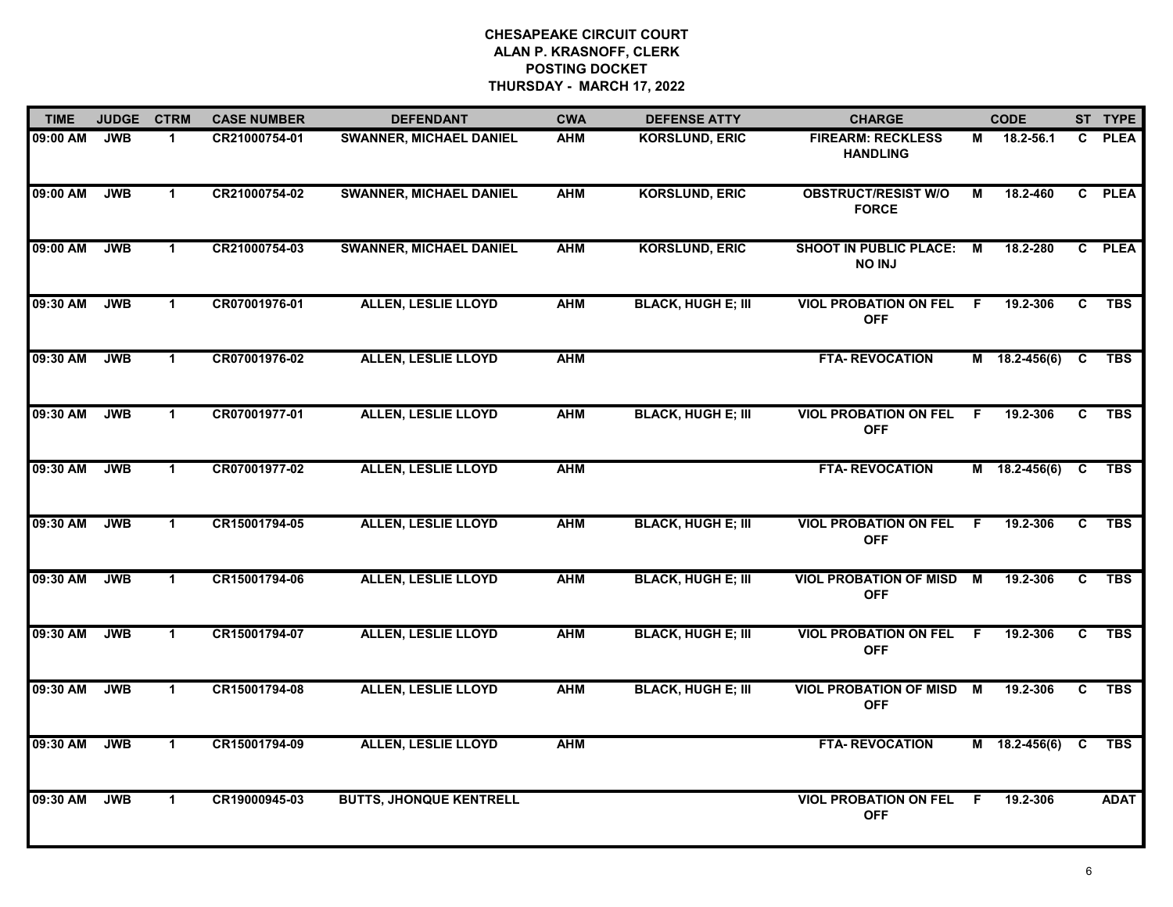| <b>TIME</b> | <b>JUDGE</b> | <b>CTRM</b>  | <b>CASE NUMBER</b> | <b>DEFENDANT</b>               | <b>CWA</b> | <b>DEFENSE ATTY</b>       | <b>CHARGE</b>                                  |          | <b>CODE</b>     |              | ST TYPE     |
|-------------|--------------|--------------|--------------------|--------------------------------|------------|---------------------------|------------------------------------------------|----------|-----------------|--------------|-------------|
| 09:00 AM    | <b>JWB</b>   | $\mathbf 1$  | CR21000754-01      | <b>SWANNER, MICHAEL DANIEL</b> | <b>AHM</b> | <b>KORSLUND, ERIC</b>     | <b>FIREARM: RECKLESS</b><br><b>HANDLING</b>    | М        | 18.2-56.1       | C.           | <b>PLEA</b> |
| 09:00 AM    | <b>JWB</b>   | $\mathbf{1}$ | CR21000754-02      | <b>SWANNER, MICHAEL DANIEL</b> | <b>AHM</b> | <b>KORSLUND, ERIC</b>     | <b>OBSTRUCT/RESIST W/O</b><br><b>FORCE</b>     | М        | 18.2-460        |              | C PLEA      |
| 09:00 AM    | <b>JWB</b>   | $\mathbf{1}$ | CR21000754-03      | <b>SWANNER, MICHAEL DANIEL</b> | <b>AHM</b> | <b>KORSLUND, ERIC</b>     | <b>SHOOT IN PUBLIC PLACE:</b><br><b>NO INJ</b> | M        | 18.2-280        |              | C PLEA      |
| 09:30 AM    | <b>JWB</b>   | $\mathbf 1$  | CR07001976-01      | <b>ALLEN, LESLIE LLOYD</b>     | <b>AHM</b> | <b>BLACK, HUGH E; III</b> | <b>VIOL PROBATION ON FEL</b><br><b>OFF</b>     | F.       | 19.2-306        | C            | <b>TBS</b>  |
| 09:30 AM    | <b>JWB</b>   | $\mathbf 1$  | CR07001976-02      | <b>ALLEN, LESLIE LLOYD</b>     | <b>AHM</b> |                           | <b>FTA-REVOCATION</b>                          |          | M 18.2-456(6)   | C            | <b>TBS</b>  |
| 09:30 AM    | <b>JWB</b>   | $\mathbf 1$  | CR07001977-01      | <b>ALLEN, LESLIE LLOYD</b>     | <b>AHM</b> | <b>BLACK, HUGH E; III</b> | <b>VIOL PROBATION ON FEL</b><br><b>OFF</b>     | -F       | 19.2-306        | C.           | <b>TBS</b>  |
| 09:30 AM    | <b>JWB</b>   | $\mathbf{1}$ | CR07001977-02      | <b>ALLEN, LESLIE LLOYD</b>     | <b>AHM</b> |                           | <b>FTA-REVOCATION</b>                          |          | $M$ 18.2-456(6) | C            | <b>TBS</b>  |
| 09:30 AM    | <b>JWB</b>   | $\mathbf 1$  | CR15001794-05      | <b>ALLEN, LESLIE LLOYD</b>     | <b>AHM</b> | <b>BLACK, HUGH E; III</b> | <b>VIOL PROBATION ON FEL</b><br><b>OFF</b>     | -F       | 19.2-306        | $\mathbf{c}$ | <b>TBS</b>  |
| 09:30 AM    | <b>JWB</b>   | $\mathbf 1$  | CR15001794-06      | <b>ALLEN, LESLIE LLOYD</b>     | <b>AHM</b> | <b>BLACK, HUGH E; III</b> | <b>VIOL PROBATION OF MISD</b><br><b>OFF</b>    | <b>M</b> | 19.2-306        | C            | <b>TBS</b>  |
| 09:30 AM    | <b>JWB</b>   | $\mathbf{1}$ | CR15001794-07      | <b>ALLEN, LESLIE LLOYD</b>     | <b>AHM</b> | <b>BLACK, HUGH E; III</b> | <b>VIOL PROBATION ON FEL</b><br><b>OFF</b>     | F        | 19.2-306        | C            | <b>TBS</b>  |
| 09:30 AM    | <b>JWB</b>   | $\mathbf 1$  | CR15001794-08      | <b>ALLEN, LESLIE LLOYD</b>     | <b>AHM</b> | <b>BLACK, HUGH E; III</b> | <b>VIOL PROBATION OF MISD M</b><br><b>OFF</b>  |          | 19.2-306        | C            | <b>TBS</b>  |
| 09:30 AM    | <b>JWB</b>   | $\mathbf{1}$ | CR15001794-09      | <b>ALLEN, LESLIE LLOYD</b>     | <b>AHM</b> |                           | <b>FTA- REVOCATION</b>                         |          | $M$ 18.2-456(6) | C            | <b>TBS</b>  |
| 09:30 AM    | <b>JWB</b>   | $\mathbf{1}$ | CR19000945-03      | <b>BUTTS, JHONQUE KENTRELL</b> |            |                           | <b>VIOL PROBATION ON FEL</b><br><b>OFF</b>     | F        | 19.2-306        |              | <b>ADAT</b> |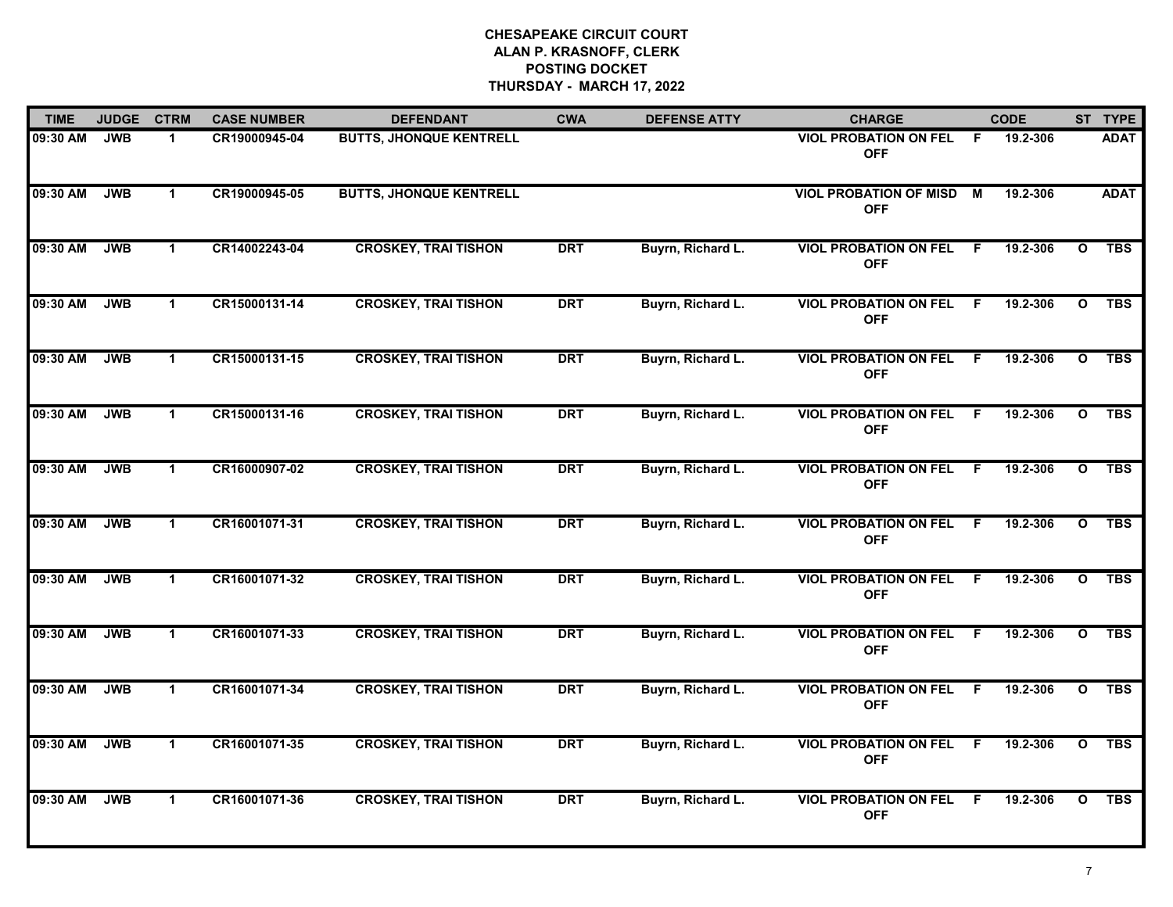| <b>TIME</b> | <b>JUDGE</b> | <b>CTRM</b>          | <b>CASE NUMBER</b> | <b>DEFENDANT</b>               | <b>CWA</b> | <b>DEFENSE ATTY</b> | <b>CHARGE</b>                                |     | <b>CODE</b> |              | ST TYPE     |
|-------------|--------------|----------------------|--------------------|--------------------------------|------------|---------------------|----------------------------------------------|-----|-------------|--------------|-------------|
| 09:30 AM    | <b>JWB</b>   | -1                   | CR19000945-04      | <b>BUTTS, JHONQUE KENTRELL</b> |            |                     | <b>VIOL PROBATION ON FEL</b><br><b>OFF</b>   | -F  | 19.2-306    |              | <b>ADAT</b> |
| 09:30 AM    | <b>JWB</b>   | $\mathbf{1}$         | CR19000945-05      | <b>BUTTS, JHONQUE KENTRELL</b> |            |                     | <b>VIOL PROBATION OF MISD</b><br><b>OFF</b>  | М   | 19.2-306    |              | <b>ADAT</b> |
| 09:30 AM    | <b>JWB</b>   | $\mathbf 1$          | CR14002243-04      | <b>CROSKEY, TRAI TISHON</b>    | <b>DRT</b> | Buyrn, Richard L.   | <b>VIOL PROBATION ON FEL</b><br><b>OFF</b>   | .F  | 19.2-306    | $\mathbf{o}$ | <b>TBS</b>  |
| 09:30 AM    | <b>JWB</b>   | $\mathbf{1}$         | CR15000131-14      | <b>CROSKEY, TRAI TISHON</b>    | <b>DRT</b> | Buyrn, Richard L.   | <b>VIOL PROBATION ON FEL</b><br><b>OFF</b>   | -F  | 19.2-306    | $\mathbf{o}$ | <b>TBS</b>  |
| 09:30 AM    | <b>JWB</b>   | $\blacktriangleleft$ | CR15000131-15      | <b>CROSKEY, TRAI TISHON</b>    | <b>DRT</b> | Buyrn, Richard L.   | <b>VIOL PROBATION ON FEL</b><br><b>OFF</b>   | F.  | 19.2-306    | $\mathbf{o}$ | <b>TBS</b>  |
| 09:30 AM    | <b>JWB</b>   | $\mathbf 1$          | CR15000131-16      | <b>CROSKEY, TRAI TISHON</b>    | <b>DRT</b> | Buyrn, Richard L.   | <b>VIOL PROBATION ON FEL F</b><br><b>OFF</b> |     | 19.2-306    | $\mathbf{o}$ | <b>TBS</b>  |
| 09:30 AM    | <b>JWB</b>   | $\mathbf{1}$         | CR16000907-02      | <b>CROSKEY, TRAI TISHON</b>    | <b>DRT</b> | Buyrn, Richard L.   | <b>VIOL PROBATION ON FEL</b><br><b>OFF</b>   | - F | 19.2-306    | $\mathbf{o}$ | <b>TBS</b>  |
| 09:30 AM    | <b>JWB</b>   | $\mathbf 1$          | CR16001071-31      | <b>CROSKEY, TRAI TISHON</b>    | <b>DRT</b> | Buyrn, Richard L.   | <b>VIOL PROBATION ON FEL</b><br><b>OFF</b>   | -F  | 19.2-306    | $\mathbf{o}$ | <b>TBS</b>  |
| 09:30 AM    | <b>JWB</b>   | $\mathbf 1$          | CR16001071-32      | <b>CROSKEY, TRAI TISHON</b>    | <b>DRT</b> | Buyrn, Richard L.   | <b>VIOL PROBATION ON FEL</b><br><b>OFF</b>   | -F  | 19.2-306    | $\mathbf{o}$ | <b>TBS</b>  |
| 09:30 AM    | <b>JWB</b>   | $\mathbf{1}$         | CR16001071-33      | <b>CROSKEY, TRAI TISHON</b>    | <b>DRT</b> | Buyrn, Richard L.   | <b>VIOL PROBATION ON FEL</b><br><b>OFF</b>   | F.  | 19.2-306    | $\mathbf{o}$ | <b>TBS</b>  |
| 09:30 AM    | <b>JWB</b>   | $\mathbf 1$          | CR16001071-34      | <b>CROSKEY, TRAI TISHON</b>    | <b>DRT</b> | Buyrn, Richard L.   | <b>VIOL PROBATION ON FEL F</b><br><b>OFF</b> |     | 19.2-306    | $\mathbf{o}$ | <b>TBS</b>  |
| 09:30 AM    | <b>JWB</b>   | $\mathbf{1}$         | CR16001071-35      | <b>CROSKEY, TRAI TISHON</b>    | <b>DRT</b> | Buyrn, Richard L.   | <b>VIOL PROBATION ON FEL</b><br><b>OFF</b>   | - F | 19.2-306    | $\mathbf{o}$ | <b>TBS</b>  |
| 09:30 AM    | <b>JWB</b>   | $\mathbf{1}$         | CR16001071-36      | <b>CROSKEY, TRAI TISHON</b>    | <b>DRT</b> | Buyrn, Richard L.   | <b>VIOL PROBATION ON FEL</b><br><b>OFF</b>   | -F  | 19.2-306    | $\mathbf{o}$ | <b>TBS</b>  |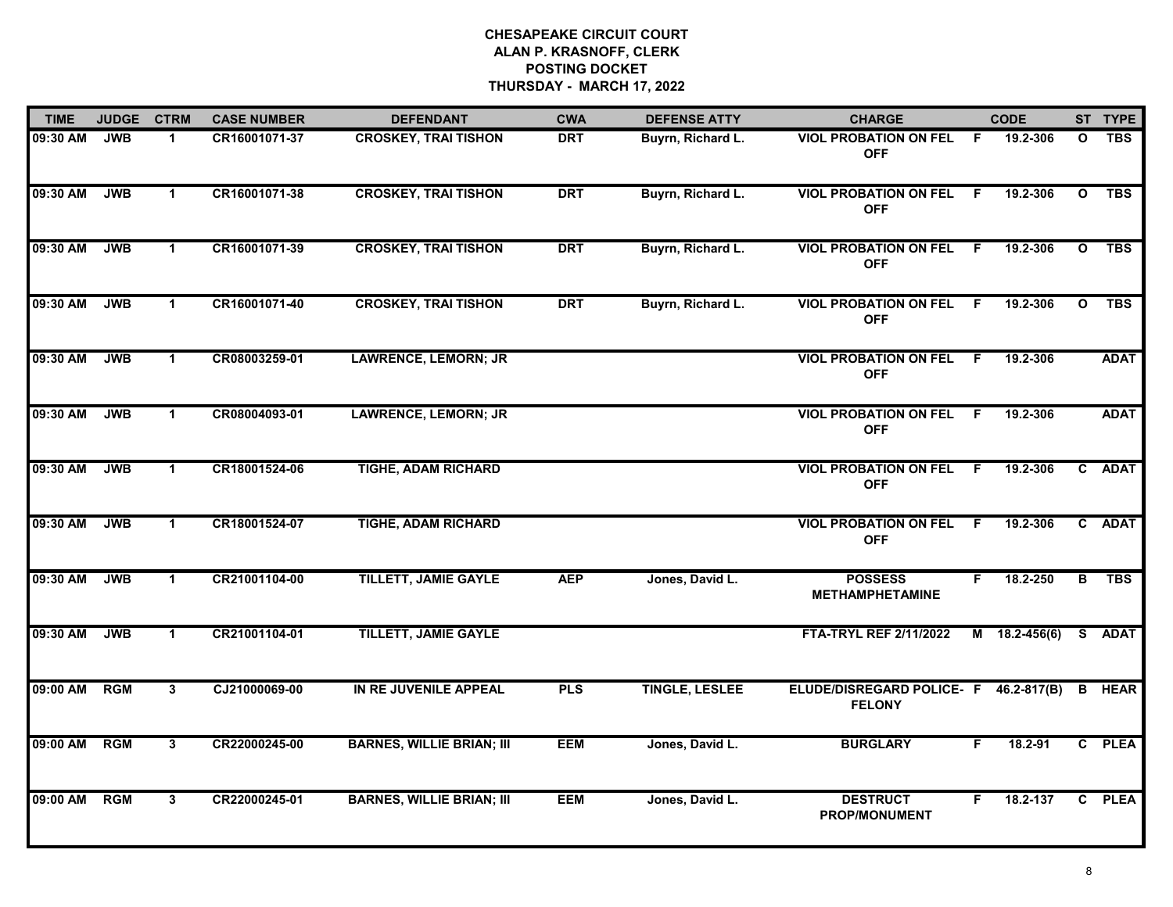| <b>TIME</b> | <b>JUDGE</b> | <b>CTRM</b>             | <b>CASE NUMBER</b> | <b>DEFENDANT</b>                 | <b>CWA</b> | <b>DEFENSE ATTY</b>   | <b>CHARGE</b>                                          |     | <b>CODE</b>   |              | ST TYPE     |
|-------------|--------------|-------------------------|--------------------|----------------------------------|------------|-----------------------|--------------------------------------------------------|-----|---------------|--------------|-------------|
| 09:30 AM    | <b>JWB</b>   | $\mathbf 1$             | CR16001071-37      | <b>CROSKEY, TRAI TISHON</b>      | <b>DRT</b> | Buyrn, Richard L.     | <b>VIOL PROBATION ON FEL</b><br><b>OFF</b>             | -F  | 19.2-306      | $\mathbf{o}$ | <b>TBS</b>  |
| 09:30 AM    | <b>JWB</b>   | $\mathbf{1}$            | CR16001071-38      | <b>CROSKEY, TRAI TISHON</b>      | <b>DRT</b> | Buyrn, Richard L.     | <b>VIOL PROBATION ON FEL</b><br><b>OFF</b>             | -F  | 19.2-306      | $\mathbf{o}$ | <b>TBS</b>  |
| 09:30 AM    | <b>JWB</b>   | $\mathbf{1}$            | CR16001071-39      | <b>CROSKEY, TRAI TISHON</b>      | <b>DRT</b> | Buyrn, Richard L.     | <b>VIOL PROBATION ON FEL</b><br><b>OFF</b>             | F   | 19.2-306      | $\mathbf{o}$ | <b>TBS</b>  |
| 09:30 AM    | <b>JWB</b>   | $\mathbf{1}$            | CR16001071-40      | <b>CROSKEY, TRAI TISHON</b>      | <b>DRT</b> | Buyrn, Richard L.     | <b>VIOL PROBATION ON FEL</b><br><b>OFF</b>             | F.  | 19.2-306      | $\mathbf{o}$ | <b>TBS</b>  |
| 09:30 AM    | <b>JWB</b>   | $\mathbf 1$             | CR08003259-01      | <b>LAWRENCE, LEMORN; JR</b>      |            |                       | <b>VIOL PROBATION ON FEL</b><br><b>OFF</b>             | F.  | 19.2-306      |              | <b>ADAT</b> |
| 09:30 AM    | <b>JWB</b>   | $\mathbf{1}$            | CR08004093-01      | <b>LAWRENCE, LEMORN; JR</b>      |            |                       | <b>VIOL PROBATION ON FEL</b><br><b>OFF</b>             | - F | 19.2-306      |              | <b>ADAT</b> |
| 09:30 AM    | <b>JWB</b>   | $\mathbf 1$             | CR18001524-06      | <b>TIGHE, ADAM RICHARD</b>       |            |                       | <b>VIOL PROBATION ON FEL</b><br><b>OFF</b>             | - F | 19.2-306      | $\mathbf{c}$ | <b>ADAT</b> |
| 09:30 AM    | <b>JWB</b>   | $\mathbf 1$             | CR18001524-07      | <b>TIGHE, ADAM RICHARD</b>       |            |                       | <b>VIOL PROBATION ON FEL</b><br><b>OFF</b>             | F   | 19.2-306      |              | C ADAT      |
| 09:30 AM    | <b>JWB</b>   | $\mathbf 1$             | CR21001104-00      | <b>TILLETT, JAMIE GAYLE</b>      | <b>AEP</b> | Jones, David L.       | <b>POSSESS</b><br><b>METHAMPHETAMINE</b>               | F   | 18.2-250      | B            | <b>TBS</b>  |
| 09:30 AM    | <b>JWB</b>   | $\mathbf{1}$            | CR21001104-01      | <b>TILLETT, JAMIE GAYLE</b>      |            |                       | <b>FTA-TRYL REF 2/11/2022</b>                          |     | M 18.2-456(6) | S.           | <b>ADAT</b> |
| 09:00 AM    | <b>RGM</b>   | 3                       | CJ21000069-00      | IN RE JUVENILE APPEAL            | <b>PLS</b> | <b>TINGLE, LESLEE</b> | ELUDE/DISREGARD POLICE- F 46.2-817(B)<br><b>FELONY</b> |     |               | B            | <b>HEAR</b> |
| 09:00 AM    | <b>RGM</b>   | $\overline{\mathbf{3}}$ | CR22000245-00      | <b>BARNES, WILLIE BRIAN; III</b> | <b>EEM</b> | Jones, David L.       | <b>BURGLARY</b>                                        | F.  | 18.2-91       |              | C PLEA      |
| 09:00 AM    | <b>RGM</b>   | $\mathbf{3}$            | CR22000245-01      | <b>BARNES, WILLIE BRIAN; III</b> | <b>EEM</b> | Jones, David L.       | <b>DESTRUCT</b><br><b>PROP/MONUMENT</b>                | F.  | 18.2-137      |              | C PLEA      |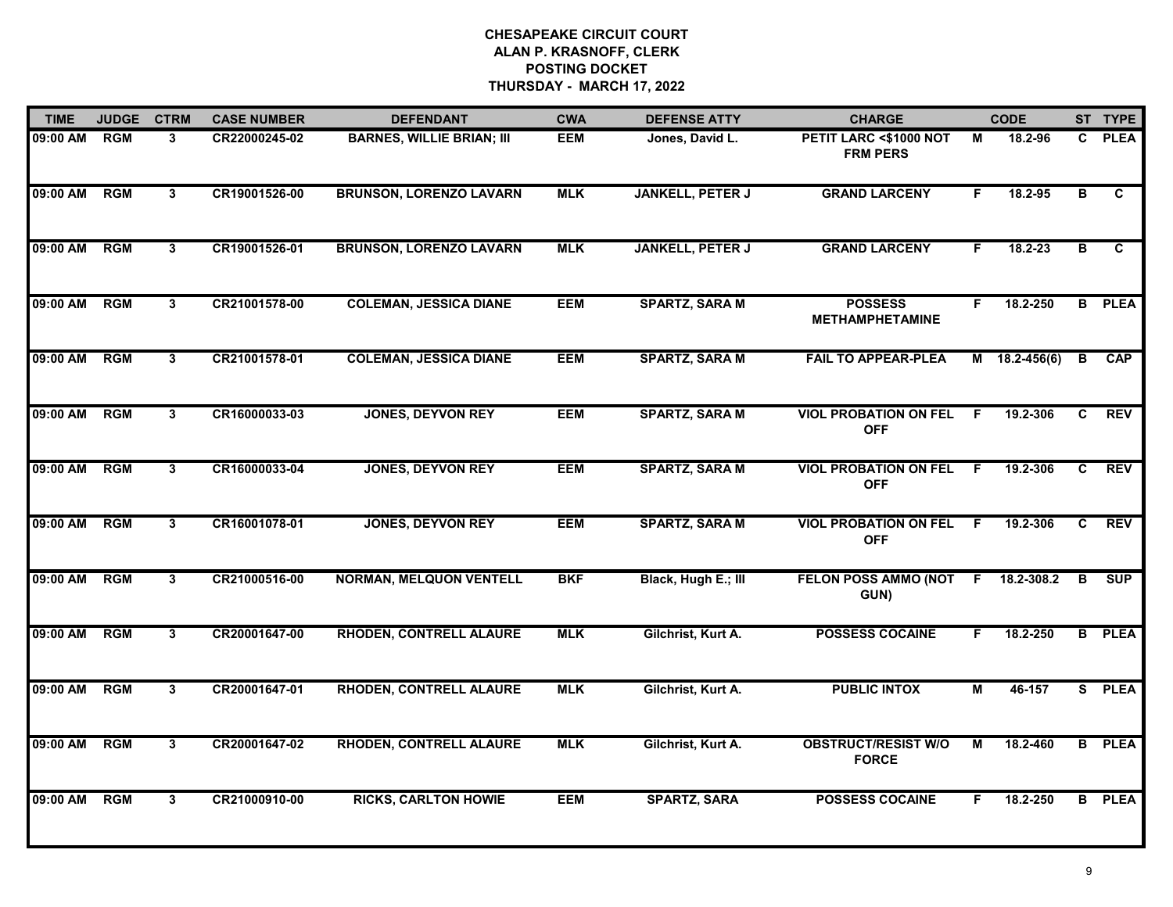| <b>TIME</b> | <b>JUDGE</b> | <b>CTRM</b>             | <b>CASE NUMBER</b> | <b>DEFENDANT</b>                 | <b>CWA</b> | <b>DEFENSE ATTY</b>     | <b>CHARGE</b>                              |    | <b>CODE</b>     |                         | ST TYPE       |
|-------------|--------------|-------------------------|--------------------|----------------------------------|------------|-------------------------|--------------------------------------------|----|-----------------|-------------------------|---------------|
| 09:00 AM    | <b>RGM</b>   | 3                       | CR22000245-02      | <b>BARNES, WILLIE BRIAN; III</b> | <b>EEM</b> | Jones, David L.         | PETIT LARC <\$1000 NOT<br><b>FRM PERS</b>  | М  | 18.2-96         | $\mathbf{c}$            | <b>PLEA</b>   |
| 09:00 AM    | RGM          | 3                       | CR19001526-00      | <b>BRUNSON, LORENZO LAVARN</b>   | <b>MLK</b> | <b>JANKELL, PETER J</b> | <b>GRAND LARCENY</b>                       | F. | 18.2-95         | $\overline{\mathbf{B}}$ | C             |
| 09:00 AM    | <b>RGM</b>   | 3 <sup>1</sup>          | CR19001526-01      | <b>BRUNSON, LORENZO LAVARN</b>   | <b>MLK</b> | <b>JANKELL, PETER J</b> | <b>GRAND LARCENY</b>                       | F. | $18.2 - 23$     | B                       | $\mathbf{c}$  |
| 09:00 AM    | <b>RGM</b>   | 3                       | CR21001578-00      | <b>COLEMAN, JESSICA DIANE</b>    | <b>EEM</b> | <b>SPARTZ, SARA M</b>   | <b>POSSESS</b><br><b>METHAMPHETAMINE</b>   | F. | 18.2-250        | B                       | <b>PLEA</b>   |
| 09:00 AM    | <b>RGM</b>   | 3                       | CR21001578-01      | <b>COLEMAN, JESSICA DIANE</b>    | <b>EEM</b> | <b>SPARTZ, SARA M</b>   | <b>FAIL TO APPEAR-PLEA</b>                 |    | $M$ 18.2-456(6) | В                       | <b>CAP</b>    |
| 09:00 AM    | <b>RGM</b>   | 3                       | CR16000033-03      | <b>JONES, DEYVON REY</b>         | <b>EEM</b> | <b>SPARTZ, SARA M</b>   | <b>VIOL PROBATION ON FEL</b><br><b>OFF</b> | F. | 19.2-306        | C                       | <b>REV</b>    |
| 09:00 AM    | <b>RGM</b>   | 3                       | CR16000033-04      | <b>JONES, DEYVON REY</b>         | <b>EEM</b> | <b>SPARTZ, SARA M</b>   | <b>VIOL PROBATION ON FEL</b><br><b>OFF</b> | -F | 19.2-306        | C                       | <b>REV</b>    |
| 09:00 AM    | <b>RGM</b>   | $\overline{\mathbf{3}}$ | CR16001078-01      | <b>JONES, DEYVON REY</b>         | <b>EEM</b> | <b>SPARTZ, SARA M</b>   | <b>VIOL PROBATION ON FEL</b><br><b>OFF</b> | F  | 19.2-306        | $\mathbf{c}$            | <b>REV</b>    |
| 09:00 AM    | <b>RGM</b>   | 3                       | CR21000516-00      | <b>NORMAN, MELQUON VENTELL</b>   | <b>BKF</b> | Black, Hugh E.; III     | FELON POSS AMMO (NOT<br>GUN)               | F. | 18.2-308.2      | в                       | SUP           |
| 09:00 AM    | <b>RGM</b>   | 3                       | CR20001647-00      | <b>RHODEN, CONTRELL ALAURE</b>   | <b>MLK</b> | Gilchrist, Kurt A.      | <b>POSSESS COCAINE</b>                     | F. | 18.2-250        |                         | <b>B</b> PLEA |
| 09:00 AM    | <b>RGM</b>   | 3                       | CR20001647-01      | <b>RHODEN, CONTRELL ALAURE</b>   | <b>MLK</b> | Gilchrist, Kurt A.      | <b>PUBLIC INTOX</b>                        | М  | 46-157          |                         | S PLEA        |
| 09:00 AM    | <b>RGM</b>   | 3                       | CR20001647-02      | <b>RHODEN, CONTRELL ALAURE</b>   | <b>MLK</b> | Gilchrist, Kurt A.      | <b>OBSTRUCT/RESIST W/O</b><br><b>FORCE</b> | М  | 18.2-460        |                         | <b>B</b> PLEA |
| 09:00 AM    | <b>RGM</b>   | 3 <sup>1</sup>          | CR21000910-00      | <b>RICKS, CARLTON HOWIE</b>      | <b>EEM</b> | <b>SPARTZ, SARA</b>     | <b>POSSESS COCAINE</b>                     | F. | 18.2-250        |                         | <b>B</b> PLEA |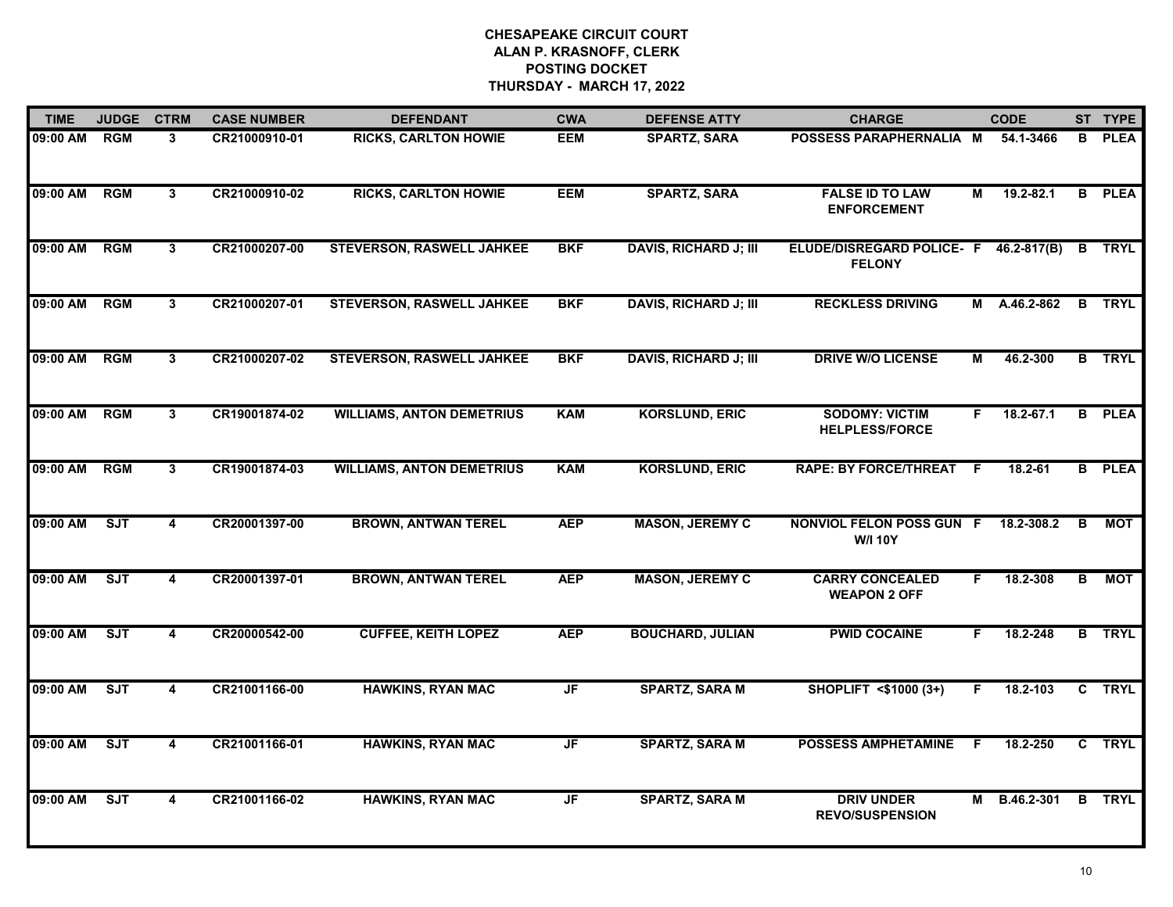| <b>TIME</b> | <b>JUDGE</b> | <b>CTRM</b>             | <b>CASE NUMBER</b> | <b>DEFENDANT</b>                 | <b>CWA</b> | <b>DEFENSE ATTY</b>          | <b>CHARGE</b>                                     |     | <b>CODE</b>     |   | ST TYPE       |
|-------------|--------------|-------------------------|--------------------|----------------------------------|------------|------------------------------|---------------------------------------------------|-----|-----------------|---|---------------|
| 09:00 AM    | <b>RGM</b>   | 3                       | CR21000910-01      | <b>RICKS, CARLTON HOWIE</b>      | <b>EEM</b> | <b>SPARTZ, SARA</b>          | POSSESS PARAPHERNALIA M                           |     | 54.1-3466       | B | <b>PLEA</b>   |
| 09:00 AM    | RGM          | 3                       | CR21000910-02      | <b>RICKS, CARLTON HOWIE</b>      | <b>EEM</b> | <b>SPARTZ, SARA</b>          | <b>FALSE ID TO LAW</b><br><b>ENFORCEMENT</b>      | М   | $19.2 - 82.1$   |   | <b>B</b> PLEA |
| 09:00 AM    | <b>RGM</b>   | 3 <sup>1</sup>          | CR21000207-00      | <b>STEVERSON, RASWELL JAHKEE</b> | <b>BKF</b> | <b>DAVIS, RICHARD J; III</b> | ELUDE/DISREGARD POLICE- F<br><b>FELONY</b>        |     | $46.2 - 817(B)$ | B | <b>TRYL</b>   |
| 09:00 AM    | <b>RGM</b>   | 3                       | CR21000207-01      | <b>STEVERSON, RASWELL JAHKEE</b> | <b>BKF</b> | <b>DAVIS, RICHARD J; III</b> | <b>RECKLESS DRIVING</b>                           | М   | A.46.2-862      |   | <b>B</b> TRYL |
| 09:00 AM    | <b>RGM</b>   | 3                       | CR21000207-02      | <b>STEVERSON, RASWELL JAHKEE</b> | <b>BKF</b> | <b>DAVIS, RICHARD J; III</b> | <b>DRIVE W/O LICENSE</b>                          | М   | 46.2-300        |   | <b>B</b> TRYL |
| 09:00 AM    | <b>RGM</b>   | 3                       | CR19001874-02      | <b>WILLIAMS, ANTON DEMETRIUS</b> | <b>KAM</b> | <b>KORSLUND, ERIC</b>        | <b>SODOMY: VICTIM</b><br><b>HELPLESS/FORCE</b>    | F.  | $18.2 - 67.1$   |   | <b>B</b> PLEA |
| 09:00 AM    | RGM          | 3                       | CR19001874-03      | <b>WILLIAMS, ANTON DEMETRIUS</b> | <b>KAM</b> | <b>KORSLUND, ERIC</b>        | <b>RAPE: BY FORCE/THREAT</b>                      | - F | 18.2-61         |   | <b>B</b> PLEA |
| 09:00 AM    | SJT          | $\overline{\mathbf{4}}$ | CR20001397-00      | <b>BROWN, ANTWAN TEREL</b>       | <b>AEP</b> | <b>MASON, JEREMY C</b>       | <b>NONVIOL FELON POSS GUN F</b><br><b>W/I 10Y</b> |     | 18.2-308.2      | в | <b>MOT</b>    |
| 09:00 AM    | SJT          | 4                       | CR20001397-01      | <b>BROWN, ANTWAN TEREL</b>       | <b>AEP</b> | <b>MASON, JEREMY C</b>       | <b>CARRY CONCEALED</b><br><b>WEAPON 2 OFF</b>     | F.  | 18.2-308        | B | <b>MOT</b>    |
| 09:00 AM    | ST           | 4                       | CR20000542-00      | <b>CUFFEE, KEITH LOPEZ</b>       | <b>AEP</b> | <b>BOUCHARD, JULIAN</b>      | <b>PWID COCAINE</b>                               | F.  | 18.2-248        |   | <b>B</b> TRYL |
| 09:00 AM    | ST           | $\overline{\mathbf{4}}$ | CR21001166-00      | <b>HAWKINS, RYAN MAC</b>         | JF         | <b>SPARTZ, SARA M</b>        | SHOPLIFT <\$1000 (3+)                             | F.  | 18.2-103        |   | C TRYL        |
| 09:00 AM    | SJT          | 4                       | CR21001166-01      | <b>HAWKINS, RYAN MAC</b>         | JF         | <b>SPARTZ, SARA M</b>        | <b>POSSESS AMPHETAMINE</b>                        | -F  | 18.2-250        |   | C TRYL        |
| 09:00 AM    | SJT          | 4                       | CR21001166-02      | <b>HAWKINS, RYAN MAC</b>         | JF         | <b>SPARTZ, SARA M</b>        | <b>DRIV UNDER</b><br><b>REVO/SUSPENSION</b>       | М   | B.46.2-301      |   | <b>B</b> TRYL |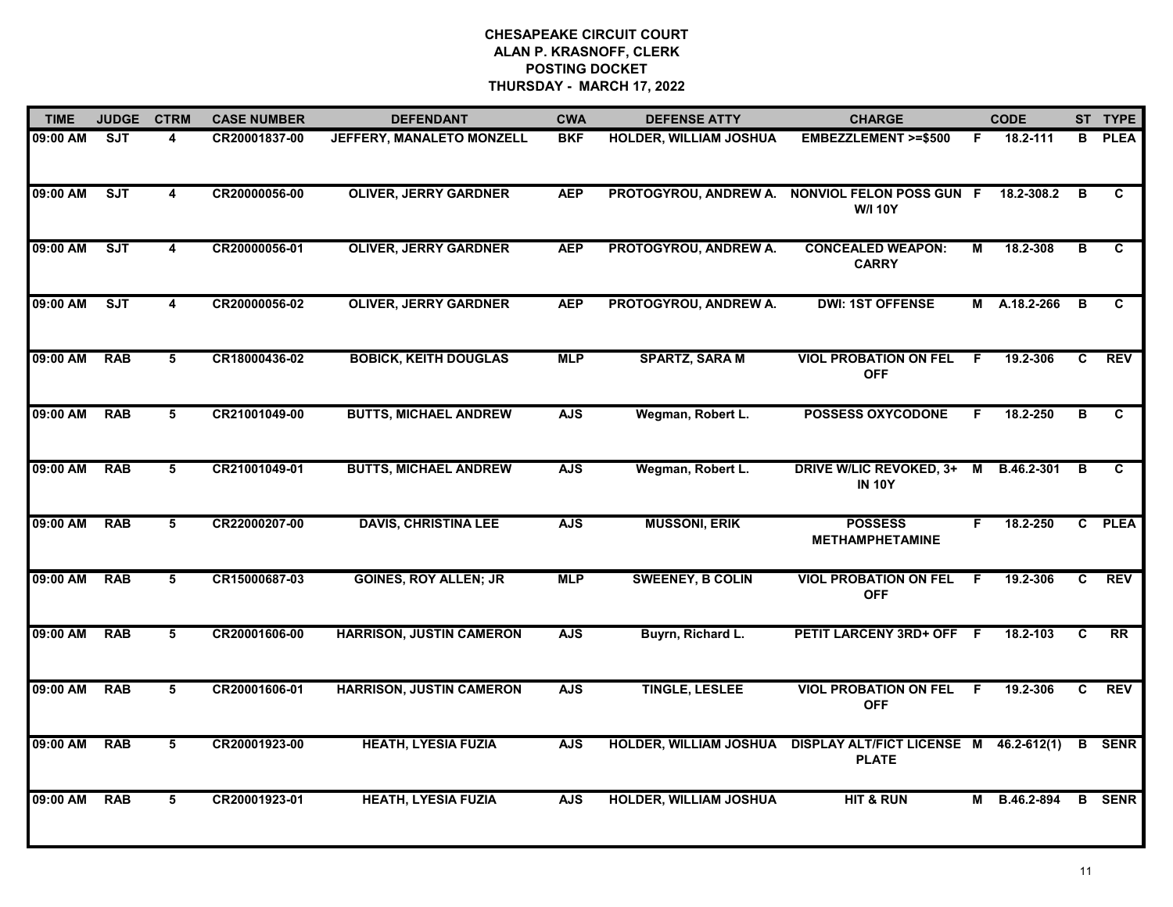| <b>TIME</b> | <b>JUDGE</b> | <b>CTRM</b>     | <b>CASE NUMBER</b> | <b>DEFENDANT</b>                | <b>CWA</b> | <b>DEFENSE ATTY</b>           | <b>CHARGE</b>                                          |                | <b>CODE</b>  |    | ST TYPE         |
|-------------|--------------|-----------------|--------------------|---------------------------------|------------|-------------------------------|--------------------------------------------------------|----------------|--------------|----|-----------------|
| 09:00 AM    | SJT          | 4               | CR20001837-00      | JEFFERY, MANALETO MONZELL       | <b>BKF</b> | HOLDER, WILLIAM JOSHUA        | EMBEZZLEMENT >=\$500                                   | F              | 18.2-111     | в  | <b>PLEA</b>     |
| 09:00 AM    | SJT          | 4               | CR20000056-00      | <b>OLIVER, JERRY GARDNER</b>    | <b>AEP</b> | PROTOGYROU, ANDREW A.         | NONVIOL FELON POSS GUN F<br><b>W/I 10Y</b>             |                | 18.2-308.2   | B  | C.              |
| 09:00 AM    | ST           | 4               | CR20000056-01      | <b>OLIVER, JERRY GARDNER</b>    | <b>AEP</b> | PROTOGYROU, ANDREW A.         | <b>CONCEALED WEAPON:</b><br><b>CARRY</b>               | М              | 18.2-308     | в  | C               |
| 09:00 AM    | SJT          | 4               | CR20000056-02      | <b>OLIVER, JERRY GARDNER</b>    | <b>AEP</b> | PROTOGYROU, ANDREW A.         | <b>DWI: 1ST OFFENSE</b>                                | м              | A.18.2-266   | B  | C.              |
| 09:00 AM    | <b>RAB</b>   | 5               | CR18000436-02      | <b>BOBICK, KEITH DOUGLAS</b>    | <b>MLP</b> | <b>SPARTZ, SARA M</b>         | <b>VIOL PROBATION ON FEL</b><br><b>OFF</b>             | F.             | 19.2-306     | C. | <b>REV</b>      |
| 09:00 AM    | <b>RAB</b>   | 5               | CR21001049-00      | <b>BUTTS, MICHAEL ANDREW</b>    | <b>AJS</b> | Wegman, Robert L.             | <b>POSSESS OXYCODONE</b>                               | F.             | 18.2-250     | в  | C               |
| 09:00 AM    | <b>RAB</b>   | $5\overline{)}$ | CR21001049-01      | <b>BUTTS, MICHAEL ANDREW</b>    | <b>AJS</b> | Wegman, Robert L.             | <b>DRIVE W/LIC REVOKED, 3+</b><br><b>IN 10Y</b>        | $\blacksquare$ | B.46.2-301   | B  | C.              |
| 09:00 AM    | <b>RAB</b>   | 5               | CR22000207-00      | <b>DAVIS, CHRISTINA LEE</b>     | <b>AJS</b> | <b>MUSSONI, ERIK</b>          | <b>POSSESS</b><br><b>METHAMPHETAMINE</b>               | F.             | 18.2-250     |    | C PLEA          |
| 09:00 AM    | <b>RAB</b>   | 5               | CR15000687-03      | <b>GOINES, ROY ALLEN; JR</b>    | <b>MLP</b> | <b>SWEENEY, B COLIN</b>       | <b>VIOL PROBATION ON FEL</b><br><b>OFF</b>             | .F             | 19.2-306     | C  | <b>REV</b>      |
| 09:00 AM    | <b>RAB</b>   | 5               | CR20001606-00      | <b>HARRISON, JUSTIN CAMERON</b> | <b>AJS</b> | Buyrn, Richard L.             | <b>PETIT LARCENY 3RD+ OFF</b>                          | - F            | 18.2-103     | C  | $\overline{RR}$ |
| 09:00 AM    | <b>RAB</b>   | 5               | CR20001606-01      | <b>HARRISON, JUSTIN CAMERON</b> | <b>AJS</b> | <b>TINGLE, LESLEE</b>         | <b>VIOL PROBATION ON FEL</b><br><b>OFF</b>             | - F            | 19.2-306     | C. | <b>REV</b>      |
| 09:00 AM    | <b>RAB</b>   | 5               | CR20001923-00      | <b>HEATH, LYESIA FUZIA</b>      | <b>AJS</b> | <b>HOLDER, WILLIAM JOSHUA</b> | DISPLAY ALT/FICT LICENSE M 46.2-612(1)<br><b>PLATE</b> |                |              |    | <b>B</b> SENR   |
| 09:00 AM    | <b>RAB</b>   | 5               | CR20001923-01      | <b>HEATH, LYESIA FUZIA</b>      | <b>AJS</b> | <b>HOLDER, WILLIAM JOSHUA</b> | <b>HIT &amp; RUN</b>                                   |                | M B.46.2-894 |    | <b>B</b> SENR   |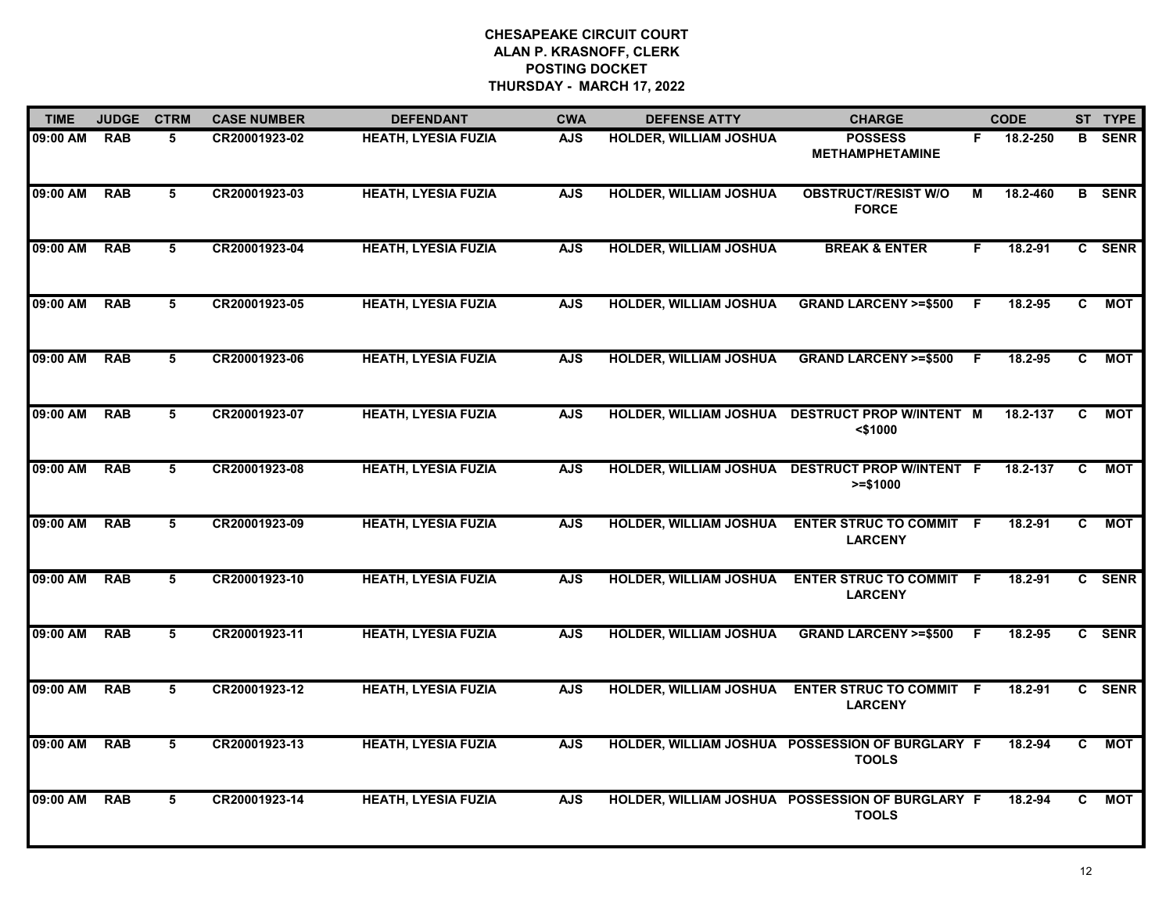| <b>TIME</b> | <b>JUDGE</b> | <b>CTRM</b> | <b>CASE NUMBER</b> | <b>DEFENDANT</b>           | <b>CWA</b> | <b>DEFENSE ATTY</b>           | <b>CHARGE</b>                                                   |    | <b>CODE</b> |                | ST TYPE       |
|-------------|--------------|-------------|--------------------|----------------------------|------------|-------------------------------|-----------------------------------------------------------------|----|-------------|----------------|---------------|
| 09:00 AM    | <b>RAB</b>   | 5           | CR20001923-02      | <b>HEATH, LYESIA FUZIA</b> | <b>AJS</b> | <b>HOLDER, WILLIAM JOSHUA</b> | <b>POSSESS</b><br><b>METHAMPHETAMINE</b>                        | F. | 18.2-250    |                | <b>B</b> SENR |
| 09:00 AM    | <b>RAB</b>   | 5           | CR20001923-03      | <b>HEATH, LYESIA FUZIA</b> | <b>AJS</b> | <b>HOLDER, WILLIAM JOSHUA</b> | <b>OBSTRUCT/RESIST W/O</b><br><b>FORCE</b>                      | м  | 18.2-460    |                | <b>B</b> SENR |
| 09:00 AM    | <b>RAB</b>   | 5           | CR20001923-04      | <b>HEATH, LYESIA FUZIA</b> | <b>AJS</b> | <b>HOLDER, WILLIAM JOSHUA</b> | <b>BREAK &amp; ENTER</b>                                        | F. | 18.2-91     |                | C SENR        |
| 09:00 AM    | <b>RAB</b>   | 5           | CR20001923-05      | <b>HEATH, LYESIA FUZIA</b> | <b>AJS</b> | <b>HOLDER, WILLIAM JOSHUA</b> | <b>GRAND LARCENY &gt;=\$500</b>                                 | F. | 18.2-95     | C.             | <b>MOT</b>    |
| 09:00 AM    | <b>RAB</b>   | 5           | CR20001923-06      | <b>HEATH, LYESIA FUZIA</b> | <b>AJS</b> | <b>HOLDER, WILLIAM JOSHUA</b> | <b>GRAND LARCENY &gt;=\$500</b>                                 | -F | 18.2-95     | C.             | MOT           |
| 09:00 AM    | <b>RAB</b>   | 5           | CR20001923-07      | <b>HEATH, LYESIA FUZIA</b> | <b>AJS</b> |                               | HOLDER, WILLIAM JOSHUA DESTRUCT PROP W/INTENT M<br>$<$ \$1000   |    | 18.2-137    | C.             | <b>MOT</b>    |
| 09:00 AM    | <b>RAB</b>   | 5           | CR20001923-08      | <b>HEATH, LYESIA FUZIA</b> | <b>AJS</b> | <b>HOLDER, WILLIAM JOSHUA</b> | <b>DESTRUCT PROP W/INTENT F</b><br>$>= $1000$                   |    | 18.2-137    | $\overline{c}$ | <b>MOT</b>    |
| 09:00 AM    | <b>RAB</b>   | 5           | CR20001923-09      | <b>HEATH, LYESIA FUZIA</b> | <b>AJS</b> | <b>HOLDER, WILLIAM JOSHUA</b> | <b>ENTER STRUC TO COMMIT F</b><br><b>LARCENY</b>                |    | 18.2-91     | $\mathbf{c}$   | <b>MOT</b>    |
| 09:00 AM    | <b>RAB</b>   | 5           | CR20001923-10      | <b>HEATH, LYESIA FUZIA</b> | <b>AJS</b> | <b>HOLDER, WILLIAM JOSHUA</b> | <b>ENTER STRUC TO COMMIT F</b><br><b>LARCENY</b>                |    | 18.2-91     |                | C SENR        |
| 09:00 AM    | <b>RAB</b>   | 5           | CR20001923-11      | <b>HEATH, LYESIA FUZIA</b> | <b>AJS</b> | <b>HOLDER, WILLIAM JOSHUA</b> | <b>GRAND LARCENY &gt;=\$500</b>                                 | -F | 18.2-95     |                | C SENR        |
| 09:00 AM    | <b>RAB</b>   | 5           | CR20001923-12      | <b>HEATH, LYESIA FUZIA</b> | <b>AJS</b> | <b>HOLDER, WILLIAM JOSHUA</b> | <b>ENTER STRUC TO COMMIT F</b><br><b>LARCENY</b>                |    | 18.2-91     |                | C SENR        |
| 09:00 AM    | <b>RAB</b>   | 5           | CR20001923-13      | <b>HEATH, LYESIA FUZIA</b> | <b>AJS</b> |                               | HOLDER, WILLIAM JOSHUA POSSESSION OF BURGLARY F<br><b>TOOLS</b> |    | 18.2-94     | $\overline{c}$ | <b>MOT</b>    |
| 09:00 AM    | <b>RAB</b>   | 5           | CR20001923-14      | <b>HEATH, LYESIA FUZIA</b> | <b>AJS</b> |                               | HOLDER, WILLIAM JOSHUA POSSESSION OF BURGLARY F<br><b>TOOLS</b> |    | 18.2-94     | $\mathbf{c}$   | <b>MOT</b>    |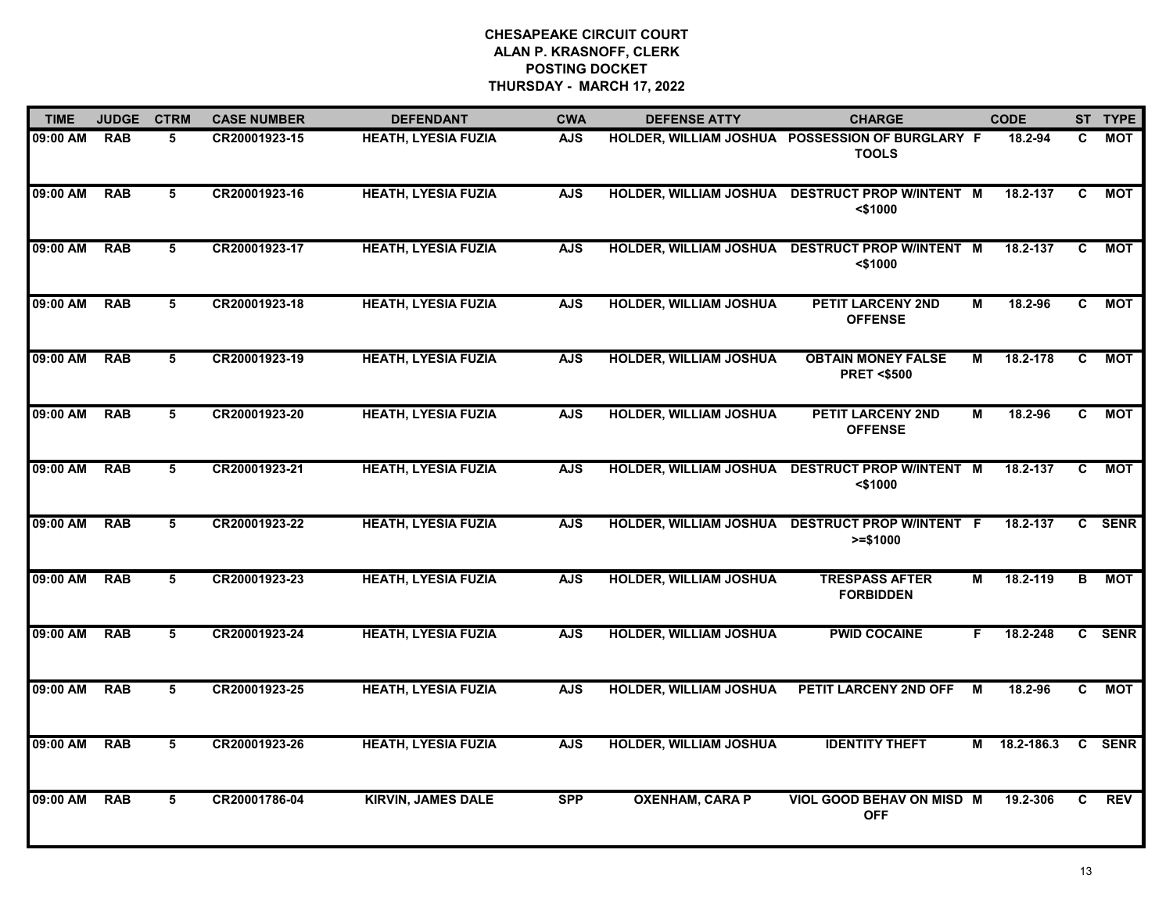| <b>TIME</b> | <b>JUDGE</b> | <b>CTRM</b> | <b>CASE NUMBER</b> | <b>DEFENDANT</b>           | <b>CWA</b> | <b>DEFENSE ATTY</b>           | <b>CHARGE</b>                                                   |   | <b>CODE</b> |                | ST TYPE    |
|-------------|--------------|-------------|--------------------|----------------------------|------------|-------------------------------|-----------------------------------------------------------------|---|-------------|----------------|------------|
| 09:00 AM    | <b>RAB</b>   | 5.          | CR20001923-15      | <b>HEATH, LYESIA FUZIA</b> | <b>AJS</b> |                               | HOLDER, WILLIAM JOSHUA POSSESSION OF BURGLARY F<br><b>TOOLS</b> |   | 18.2-94     | C              | MOT        |
| 09:00 AM    | <b>RAB</b>   | 5           | CR20001923-16      | <b>HEATH, LYESIA FUZIA</b> | <b>AJS</b> | <b>HOLDER, WILLIAM JOSHUA</b> | <b>DESTRUCT PROP W/INTENT M</b><br>$<$ \$1000                   |   | 18.2-137    | C              | <b>MOT</b> |
| 09:00 AM    | <b>RAB</b>   | 5           | CR20001923-17      | <b>HEATH, LYESIA FUZIA</b> | <b>AJS</b> | <b>HOLDER, WILLIAM JOSHUA</b> | <b>DESTRUCT PROP W/INTENT M</b><br>$<$ \$1000                   |   | 18.2-137    | $\mathbf{C}$   | <b>MOT</b> |
| 09:00 AM    | <b>RAB</b>   | 5           | CR20001923-18      | <b>HEATH, LYESIA FUZIA</b> | <b>AJS</b> | <b>HOLDER, WILLIAM JOSHUA</b> | <b>PETIT LARCENY 2ND</b><br><b>OFFENSE</b>                      | М | 18.2-96     | C              | <b>MOT</b> |
| 09:00 AM    | <b>RAB</b>   | 5           | CR20001923-19      | <b>HEATH, LYESIA FUZIA</b> | <b>AJS</b> | <b>HOLDER, WILLIAM JOSHUA</b> | <b>OBTAIN MONEY FALSE</b><br><b>PRET &lt;\$500</b>              | М | 18.2-178    | $\overline{c}$ | <b>MOT</b> |
| 09:00 AM    | <b>RAB</b>   | 5           | CR20001923-20      | <b>HEATH, LYESIA FUZIA</b> | <b>AJS</b> | <b>HOLDER, WILLIAM JOSHUA</b> | <b>PETIT LARCENY 2ND</b><br><b>OFFENSE</b>                      | М | 18.2-96     | $\mathbf{c}$   | <b>MOT</b> |
| 09:00 AM    | <b>RAB</b>   | 5           | CR20001923-21      | <b>HEATH, LYESIA FUZIA</b> | <b>AJS</b> | <b>HOLDER, WILLIAM JOSHUA</b> | <b>DESTRUCT PROP W/INTENT M</b><br>$<$ \$1000                   |   | 18.2-137    | $\overline{c}$ | <b>MOT</b> |
| 09:00 AM    | <b>RAB</b>   | 5           | CR20001923-22      | <b>HEATH, LYESIA FUZIA</b> | <b>AJS</b> | <b>HOLDER, WILLIAM JOSHUA</b> | <b>DESTRUCT PROP W/INTENT F</b><br>$>= $1000$                   |   | 18.2-137    |                | C SENR     |
| 09:00 AM    | <b>RAB</b>   | 5           | CR20001923-23      | <b>HEATH, LYESIA FUZIA</b> | <b>AJS</b> | <b>HOLDER, WILLIAM JOSHUA</b> | <b>TRESPASS AFTER</b><br><b>FORBIDDEN</b>                       | M | 18.2-119    | B              | <b>MOT</b> |
| 09:00 AM    | <b>RAB</b>   | 5           | CR20001923-24      | <b>HEATH, LYESIA FUZIA</b> | <b>AJS</b> | <b>HOLDER, WILLIAM JOSHUA</b> | <b>PWID COCAINE</b>                                             | F | 18.2-248    |                | C SENR     |
| 09:00 AM    | <b>RAB</b>   | 5           | CR20001923-25      | <b>HEATH, LYESIA FUZIA</b> | <b>AJS</b> | <b>HOLDER, WILLIAM JOSHUA</b> | <b>PETIT LARCENY 2ND OFF</b>                                    | M | 18.2-96     | $\overline{c}$ | <b>MOT</b> |
| 09:00 AM    | <b>RAB</b>   | 5           | CR20001923-26      | <b>HEATH, LYESIA FUZIA</b> | <b>AJS</b> | <b>HOLDER, WILLIAM JOSHUA</b> | <b>IDENTITY THEFT</b>                                           | М | 18.2-186.3  |                | C SENR     |
| 09:00 AM    | <b>RAB</b>   | 5           | CR20001786-04      | <b>KIRVIN, JAMES DALE</b>  | <b>SPP</b> | <b>OXENHAM, CARA P</b>        | <b>VIOL GOOD BEHAV ON MISD M</b><br><b>OFF</b>                  |   | 19.2-306    | C.             | <b>REV</b> |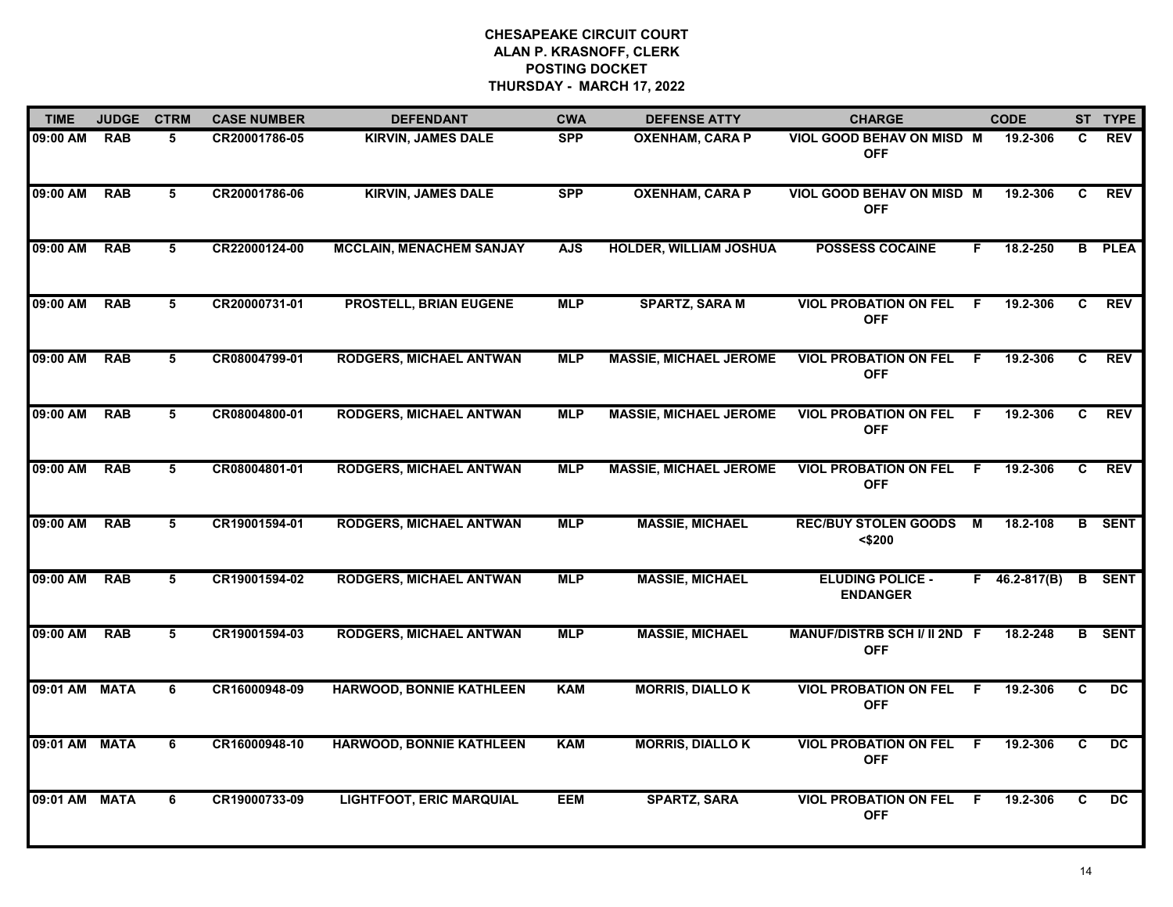| <b>TIME</b>   | <b>JUDGE</b> | <b>CTRM</b> | <b>CASE NUMBER</b> | <b>DEFENDANT</b>                | <b>CWA</b> | <b>DEFENSE ATTY</b>           | <b>CHARGE</b>                                     |    | <b>CODE</b>     |    | ST TYPE       |
|---------------|--------------|-------------|--------------------|---------------------------------|------------|-------------------------------|---------------------------------------------------|----|-----------------|----|---------------|
| 09:00 AM      | <b>RAB</b>   | 5.          | CR20001786-05      | <b>KIRVIN, JAMES DALE</b>       | <b>SPP</b> | <b>OXENHAM, CARA P</b>        | VIOL GOOD BEHAV ON MISD M<br><b>OFF</b>           |    | 19.2-306        | C. | <b>REV</b>    |
| 09:00 AM      | <b>RAB</b>   | 5           | CR20001786-06      | <b>KIRVIN, JAMES DALE</b>       | <b>SPP</b> | <b>OXENHAM, CARA P</b>        | VIOL GOOD BEHAV ON MISD M<br><b>OFF</b>           |    | 19.2-306        | C. | <b>REV</b>    |
| 09:00 AM      | <b>RAB</b>   | 5           | CR22000124-00      | <b>MCCLAIN, MENACHEM SANJAY</b> | <b>AJS</b> | <b>HOLDER, WILLIAM JOSHUA</b> | <b>POSSESS COCAINE</b>                            | F. | 18.2-250        |    | <b>B</b> PLEA |
| 09:00 AM      | <b>RAB</b>   | 5           | CR20000731-01      | <b>PROSTELL, BRIAN EUGENE</b>   | <b>MLP</b> | <b>SPARTZ, SARA M</b>         | <b>VIOL PROBATION ON FEL</b><br><b>OFF</b>        | F. | 19.2-306        | C. | <b>REV</b>    |
| 09:00 AM      | <b>RAB</b>   | 5           | CR08004799-01      | <b>RODGERS, MICHAEL ANTWAN</b>  | <b>MLP</b> | <b>MASSIE, MICHAEL JEROME</b> | <b>VIOL PROBATION ON FEL</b><br><b>OFF</b>        | F. | 19.2-306        | C. | <b>REV</b>    |
| 09:00 AM      | <b>RAB</b>   | 5           | CR08004800-01      | <b>RODGERS, MICHAEL ANTWAN</b>  | <b>MLP</b> | <b>MASSIE, MICHAEL JEROME</b> | <b>VIOL PROBATION ON FEL</b><br><b>OFF</b>        | F. | 19.2-306        | C. | <b>REV</b>    |
| 09:00 AM      | <b>RAB</b>   | 5           | CR08004801-01      | <b>RODGERS, MICHAEL ANTWAN</b>  | <b>MLP</b> | <b>MASSIE, MICHAEL JEROME</b> | <b>VIOL PROBATION ON FEL</b><br><b>OFF</b>        | F. | 19.2-306        | C  | <b>REV</b>    |
| 09:00 AM      | <b>RAB</b>   | 5           | CR19001594-01      | <b>RODGERS, MICHAEL ANTWAN</b>  | <b>MLP</b> | <b>MASSIE, MICHAEL</b>        | <b>REC/BUY STOLEN GOODS</b><br>$<$ \$200          | M  | 18.2-108        |    | <b>B</b> SENT |
| 09:00 AM      | <b>RAB</b>   | 5           | CR19001594-02      | <b>RODGERS, MICHAEL ANTWAN</b>  | <b>MLP</b> | <b>MASSIE, MICHAEL</b>        | <b>ELUDING POLICE -</b><br><b>ENDANGER</b>        |    | $F$ 46.2-817(B) | B  | <b>SENT</b>   |
| 09:00 AM      | <b>RAB</b>   | 5           | CR19001594-03      | <b>RODGERS, MICHAEL ANTWAN</b>  | <b>MLP</b> | <b>MASSIE, MICHAEL</b>        | <b>MANUF/DISTRB SCH I/ II 2ND F</b><br><b>OFF</b> |    | 18.2-248        |    | <b>B</b> SENT |
| 09:01 AM MATA |              | 6           | CR16000948-09      | <b>HARWOOD, BONNIE KATHLEEN</b> | <b>KAM</b> | <b>MORRIS, DIALLOK</b>        | <b>VIOL PROBATION ON FEL</b><br><b>OFF</b>        | -F | 19.2-306        | C  | DC            |
| 09:01 AM      | <b>MATA</b>  | 6           | CR16000948-10      | <b>HARWOOD, BONNIE KATHLEEN</b> | <b>KAM</b> | <b>MORRIS, DIALLOK</b>        | <b>VIOL PROBATION ON FEL</b><br><b>OFF</b>        | F. | 19.2-306        | C  | DC.           |
| 09:01 AM      | <b>MATA</b>  | 6           | CR19000733-09      | <b>LIGHTFOOT, ERIC MARQUIAL</b> | <b>EEM</b> | <b>SPARTZ, SARA</b>           | <b>VIOL PROBATION ON FEL</b><br><b>OFF</b>        | F  | 19.2-306        | C. | DC.           |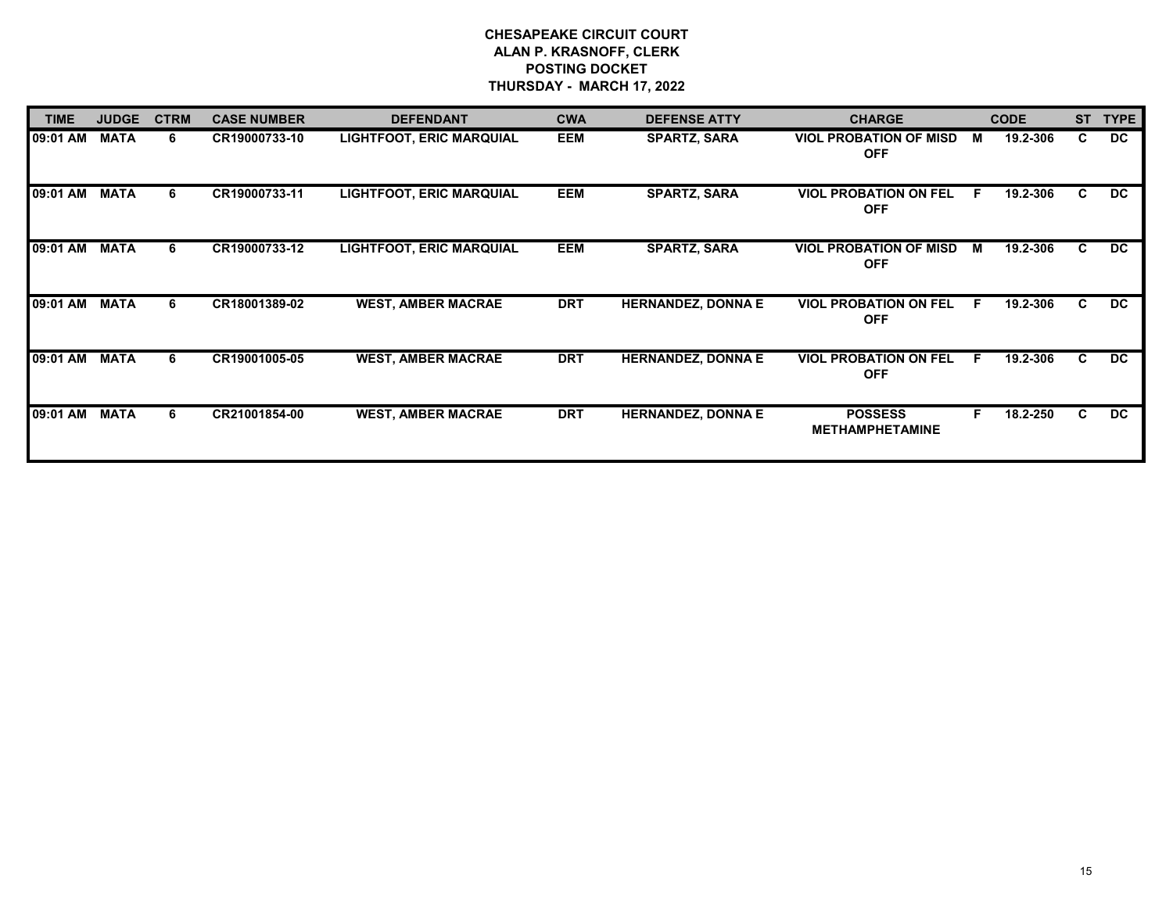| <b>TIME</b> | <b>JUDGE</b> | <b>CTRM</b> | <b>CASE NUMBER</b> | <b>DEFENDANT</b>                | <b>CWA</b> | <b>DEFENSE ATTY</b>       | <b>CHARGE</b>                               |    | <b>CODE</b> | <b>ST</b> | <b>TYPE</b>     |
|-------------|--------------|-------------|--------------------|---------------------------------|------------|---------------------------|---------------------------------------------|----|-------------|-----------|-----------------|
| 09:01 AM    | <b>MATA</b>  | 6           | CR19000733-10      | <b>LIGHTFOOT, ERIC MARQUIAL</b> | <b>EEM</b> | <b>SPARTZ, SARA</b>       | <b>VIOL PROBATION OF MISD</b><br><b>OFF</b> | М  | 19.2-306    | C.        | <b>DC</b>       |
| 09:01 AM    | <b>MATA</b>  | 6           | CR19000733-11      | <b>LIGHTFOOT, ERIC MARQUIAL</b> | <b>EEM</b> | <b>SPARTZ, SARA</b>       | <b>VIOL PROBATION ON FEL</b><br><b>OFF</b>  | .F | 19.2-306    | C.        | DC              |
| 09:01 AM    | <b>MATA</b>  | 6           | CR19000733-12      | <b>LIGHTFOOT, ERIC MARQUIAL</b> | <b>EEM</b> | <b>SPARTZ, SARA</b>       | <b>VIOL PROBATION OF MISD</b><br><b>OFF</b> | M  | 19.2-306    | C.        | DC              |
| 09:01 AM    | <b>MATA</b>  | 6           | CR18001389-02      | <b>WEST, AMBER MACRAE</b>       | <b>DRT</b> | <b>HERNANDEZ, DONNA E</b> | <b>VIOL PROBATION ON FEL</b><br><b>OFF</b>  | E. | 19.2-306    | C         | DC              |
| 09:01 AM    | <b>MATA</b>  | 6           | CR19001005-05      | <b>WEST, AMBER MACRAE</b>       | <b>DRT</b> | <b>HERNANDEZ, DONNA E</b> | <b>VIOL PROBATION ON FEL</b><br><b>OFF</b>  | -F | 19.2-306    | C         | DC              |
| 09:01 AM    | <b>MATA</b>  | 6           | CR21001854-00      | <b>WEST, AMBER MACRAE</b>       | <b>DRT</b> | <b>HERNANDEZ, DONNA E</b> | <b>POSSESS</b><br><b>METHAMPHETAMINE</b>    | F. | 18.2-250    | C.        | $\overline{DC}$ |